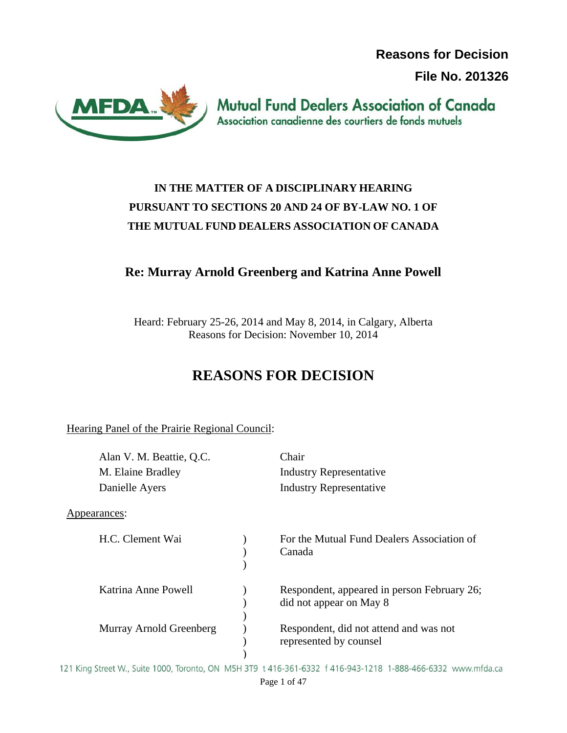**Reasons for Decision File No. 201326**



**Mutual Fund Dealers Association of Canada** Association canadienne des courtiers de fonds mutuels

# **IN THE MATTER OF A DISCIPLINARY HEARING PURSUANT TO SECTIONS 20 AND 24 OF BY-LAW NO. 1 OF THE MUTUAL FUND DEALERS ASSOCIATION OF CANADA**

# **Re: Murray Arnold Greenberg and Katrina Anne Powell**

Heard: February 25-26, 2014 and May 8, 2014, in Calgary, Alberta Reasons for Decision: November 10, 2014

# **REASONS FOR DECISION**

Hearing Panel of the Prairie Regional Council:

| Alan V. M. Beattie, Q.C. | Chair                                                                  |
|--------------------------|------------------------------------------------------------------------|
| M. Elaine Bradley        | <b>Industry Representative</b>                                         |
| Danielle Ayers           | <b>Industry Representative</b>                                         |
| Appearances:             |                                                                        |
| H.C. Clement Wai         | For the Mutual Fund Dealers Association of<br>Canada                   |
| Katrina Anne Powell      | Respondent, appeared in person February 26;<br>did not appear on May 8 |
| Murray Arnold Greenberg  | Respondent, did not attend and was not<br>represented by counsel       |

121 King Street W., Suite 1000, Toronto, ON M5H 3T9 t 416-361-6332 f 416-943-1218 1-888-466-6332 www.mfda.ca Page 1 of 47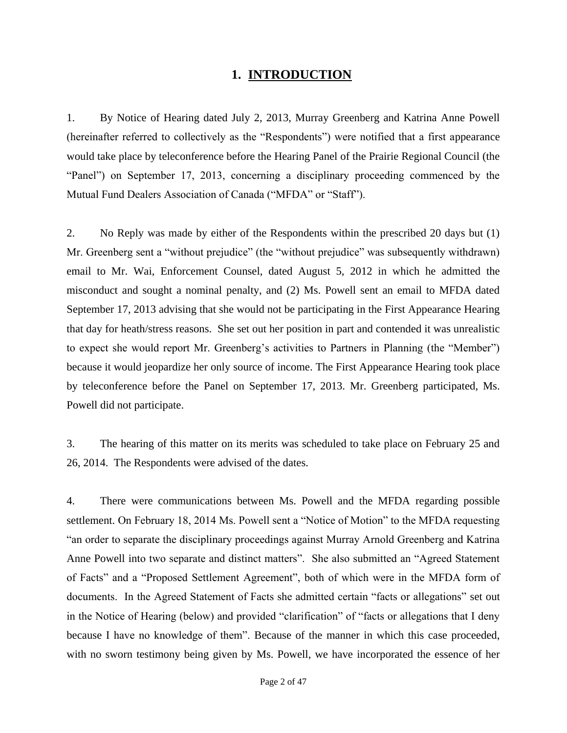### **1. INTRODUCTION**

1. By Notice of Hearing dated July 2, 2013, Murray Greenberg and Katrina Anne Powell (hereinafter referred to collectively as the "Respondents") were notified that a first appearance would take place by teleconference before the Hearing Panel of the Prairie Regional Council (the "Panel") on September 17, 2013, concerning a disciplinary proceeding commenced by the Mutual Fund Dealers Association of Canada ("MFDA" or "Staff").

2. No Reply was made by either of the Respondents within the prescribed 20 days but (1) Mr. Greenberg sent a "without prejudice" (the "without prejudice" was subsequently withdrawn) email to Mr. Wai, Enforcement Counsel, dated August 5, 2012 in which he admitted the misconduct and sought a nominal penalty, and (2) Ms. Powell sent an email to MFDA dated September 17, 2013 advising that she would not be participating in the First Appearance Hearing that day for heath/stress reasons. She set out her position in part and contended it was unrealistic to expect she would report Mr. Greenberg's activities to Partners in Planning (the "Member") because it would jeopardize her only source of income. The First Appearance Hearing took place by teleconference before the Panel on September 17, 2013. Mr. Greenberg participated, Ms. Powell did not participate.

3. The hearing of this matter on its merits was scheduled to take place on February 25 and 26, 2014. The Respondents were advised of the dates.

4. There were communications between Ms. Powell and the MFDA regarding possible settlement. On February 18, 2014 Ms. Powell sent a "Notice of Motion" to the MFDA requesting "an order to separate the disciplinary proceedings against Murray Arnold Greenberg and Katrina Anne Powell into two separate and distinct matters". She also submitted an "Agreed Statement of Facts" and a "Proposed Settlement Agreement", both of which were in the MFDA form of documents. In the Agreed Statement of Facts she admitted certain "facts or allegations" set out in the Notice of Hearing (below) and provided "clarification" of "facts or allegations that I deny because I have no knowledge of them". Because of the manner in which this case proceeded, with no sworn testimony being given by Ms. Powell, we have incorporated the essence of her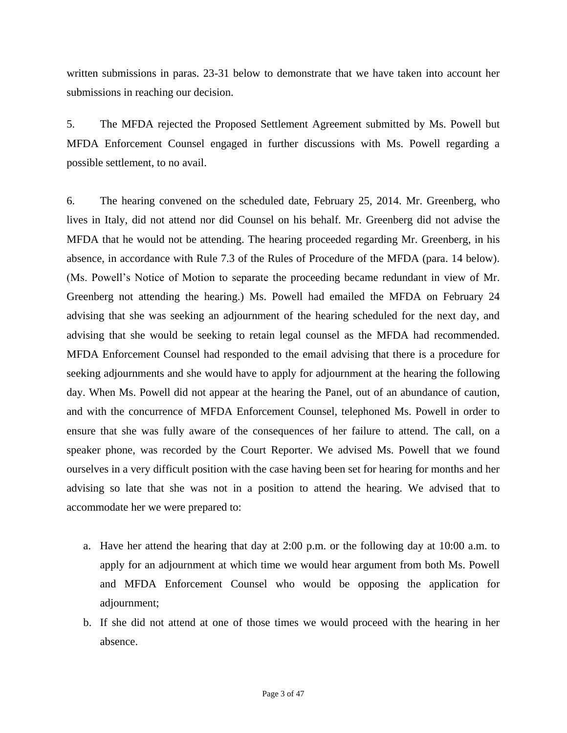written submissions in paras. 23-31 below to demonstrate that we have taken into account her submissions in reaching our decision.

5. The MFDA rejected the Proposed Settlement Agreement submitted by Ms. Powell but MFDA Enforcement Counsel engaged in further discussions with Ms. Powell regarding a possible settlement, to no avail.

6. The hearing convened on the scheduled date, February 25, 2014. Mr. Greenberg, who lives in Italy, did not attend nor did Counsel on his behalf. Mr. Greenberg did not advise the MFDA that he would not be attending. The hearing proceeded regarding Mr. Greenberg, in his absence, in accordance with Rule 7.3 of the Rules of Procedure of the MFDA (para. 14 below). (Ms. Powell's Notice of Motion to separate the proceeding became redundant in view of Mr. Greenberg not attending the hearing.) Ms. Powell had emailed the MFDA on February 24 advising that she was seeking an adjournment of the hearing scheduled for the next day, and advising that she would be seeking to retain legal counsel as the MFDA had recommended. MFDA Enforcement Counsel had responded to the email advising that there is a procedure for seeking adjournments and she would have to apply for adjournment at the hearing the following day. When Ms. Powell did not appear at the hearing the Panel, out of an abundance of caution, and with the concurrence of MFDA Enforcement Counsel, telephoned Ms. Powell in order to ensure that she was fully aware of the consequences of her failure to attend. The call, on a speaker phone, was recorded by the Court Reporter. We advised Ms. Powell that we found ourselves in a very difficult position with the case having been set for hearing for months and her advising so late that she was not in a position to attend the hearing. We advised that to accommodate her we were prepared to:

- a. Have her attend the hearing that day at 2:00 p.m. or the following day at 10:00 a.m. to apply for an adjournment at which time we would hear argument from both Ms. Powell and MFDA Enforcement Counsel who would be opposing the application for adjournment;
- b. If she did not attend at one of those times we would proceed with the hearing in her absence.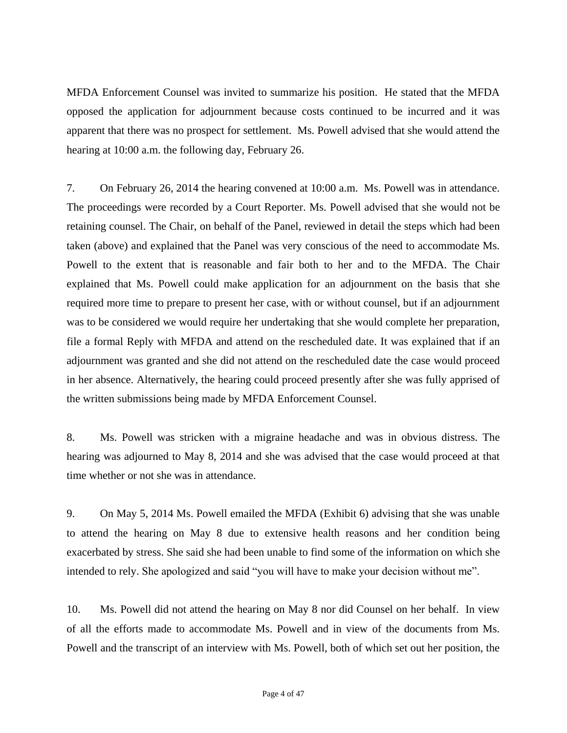MFDA Enforcement Counsel was invited to summarize his position. He stated that the MFDA opposed the application for adjournment because costs continued to be incurred and it was apparent that there was no prospect for settlement. Ms. Powell advised that she would attend the hearing at 10:00 a.m. the following day, February 26.

7. On February 26, 2014 the hearing convened at 10:00 a.m. Ms. Powell was in attendance. The proceedings were recorded by a Court Reporter. Ms. Powell advised that she would not be retaining counsel. The Chair, on behalf of the Panel, reviewed in detail the steps which had been taken (above) and explained that the Panel was very conscious of the need to accommodate Ms. Powell to the extent that is reasonable and fair both to her and to the MFDA. The Chair explained that Ms. Powell could make application for an adjournment on the basis that she required more time to prepare to present her case, with or without counsel, but if an adjournment was to be considered we would require her undertaking that she would complete her preparation, file a formal Reply with MFDA and attend on the rescheduled date. It was explained that if an adjournment was granted and she did not attend on the rescheduled date the case would proceed in her absence. Alternatively, the hearing could proceed presently after she was fully apprised of the written submissions being made by MFDA Enforcement Counsel.

8. Ms. Powell was stricken with a migraine headache and was in obvious distress. The hearing was adjourned to May 8, 2014 and she was advised that the case would proceed at that time whether or not she was in attendance.

9. On May 5, 2014 Ms. Powell emailed the MFDA (Exhibit 6) advising that she was unable to attend the hearing on May 8 due to extensive health reasons and her condition being exacerbated by stress. She said she had been unable to find some of the information on which she intended to rely. She apologized and said "you will have to make your decision without me".

10. Ms. Powell did not attend the hearing on May 8 nor did Counsel on her behalf. In view of all the efforts made to accommodate Ms. Powell and in view of the documents from Ms. Powell and the transcript of an interview with Ms. Powell, both of which set out her position, the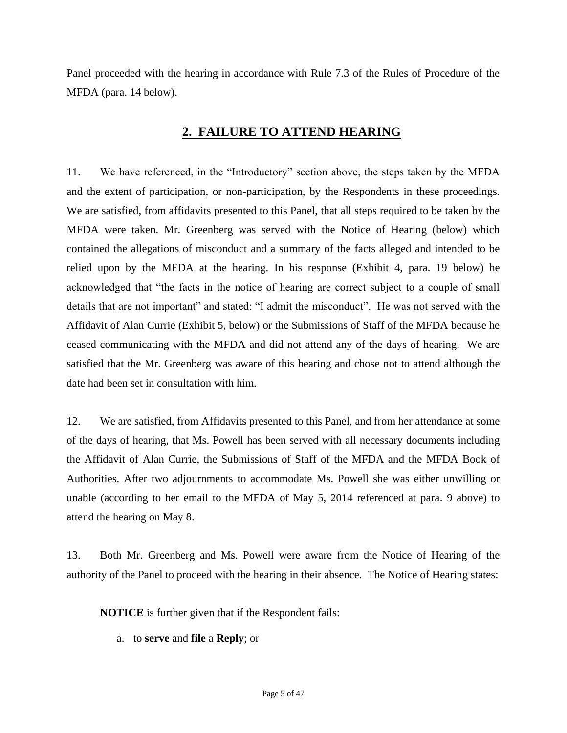Panel proceeded with the hearing in accordance with Rule 7.3 of the Rules of Procedure of the MFDA (para. 14 below).

# **2. FAILURE TO ATTEND HEARING**

11. We have referenced, in the "Introductory" section above, the steps taken by the MFDA and the extent of participation, or non-participation, by the Respondents in these proceedings. We are satisfied, from affidavits presented to this Panel, that all steps required to be taken by the MFDA were taken. Mr. Greenberg was served with the Notice of Hearing (below) which contained the allegations of misconduct and a summary of the facts alleged and intended to be relied upon by the MFDA at the hearing. In his response (Exhibit 4, para. 19 below) he acknowledged that "the facts in the notice of hearing are correct subject to a couple of small details that are not important" and stated: "I admit the misconduct". He was not served with the Affidavit of Alan Currie (Exhibit 5, below) or the Submissions of Staff of the MFDA because he ceased communicating with the MFDA and did not attend any of the days of hearing. We are satisfied that the Mr. Greenberg was aware of this hearing and chose not to attend although the date had been set in consultation with him.

12. We are satisfied, from Affidavits presented to this Panel, and from her attendance at some of the days of hearing, that Ms. Powell has been served with all necessary documents including the Affidavit of Alan Currie, the Submissions of Staff of the MFDA and the MFDA Book of Authorities. After two adjournments to accommodate Ms. Powell she was either unwilling or unable (according to her email to the MFDA of May 5, 2014 referenced at para. 9 above) to attend the hearing on May 8.

13. Both Mr. Greenberg and Ms. Powell were aware from the Notice of Hearing of the authority of the Panel to proceed with the hearing in their absence. The Notice of Hearing states:

**NOTICE** is further given that if the Respondent fails:

a. to **serve** and **file** a **Reply**; or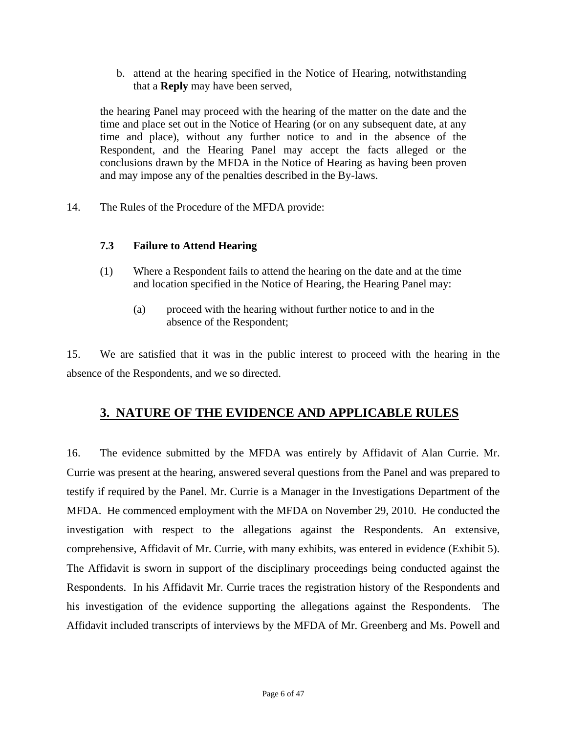b. attend at the hearing specified in the Notice of Hearing, notwithstanding that a **Reply** may have been served,

the hearing Panel may proceed with the hearing of the matter on the date and the time and place set out in the Notice of Hearing (or on any subsequent date, at any time and place), without any further notice to and in the absence of the Respondent, and the Hearing Panel may accept the facts alleged or the conclusions drawn by the MFDA in the Notice of Hearing as having been proven and may impose any of the penalties described in the By-laws.

14. The Rules of the Procedure of the MFDA provide:

#### **7.3 Failure to Attend Hearing**

- (1) Where a Respondent fails to attend the hearing on the date and at the time and location specified in the Notice of Hearing, the Hearing Panel may:
	- (a) proceed with the hearing without further notice to and in the absence of the Respondent;

15. We are satisfied that it was in the public interest to proceed with the hearing in the absence of the Respondents, and we so directed.

# **3. NATURE OF THE EVIDENCE AND APPLICABLE RULES**

16. The evidence submitted by the MFDA was entirely by Affidavit of Alan Currie. Mr. Currie was present at the hearing, answered several questions from the Panel and was prepared to testify if required by the Panel. Mr. Currie is a Manager in the Investigations Department of the MFDA. He commenced employment with the MFDA on November 29, 2010. He conducted the investigation with respect to the allegations against the Respondents. An extensive, comprehensive, Affidavit of Mr. Currie, with many exhibits, was entered in evidence (Exhibit 5). The Affidavit is sworn in support of the disciplinary proceedings being conducted against the Respondents. In his Affidavit Mr. Currie traces the registration history of the Respondents and his investigation of the evidence supporting the allegations against the Respondents. The Affidavit included transcripts of interviews by the MFDA of Mr. Greenberg and Ms. Powell and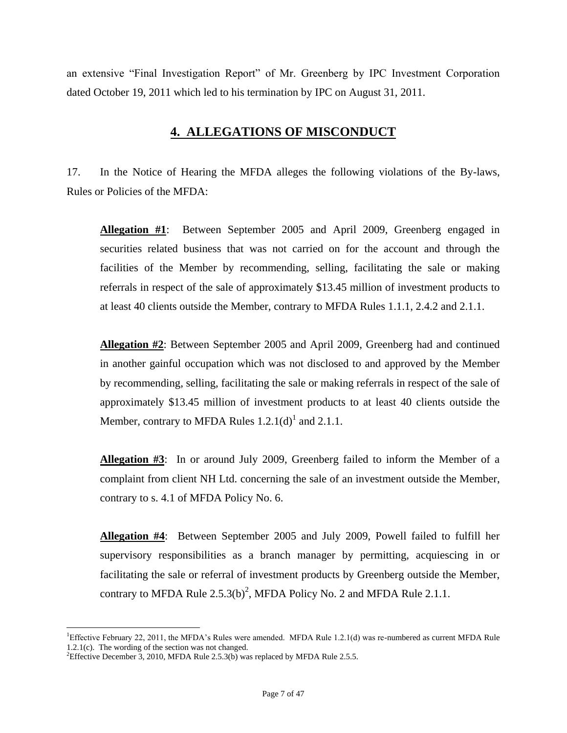an extensive "Final Investigation Report" of Mr. Greenberg by IPC Investment Corporation dated October 19, 2011 which led to his termination by IPC on August 31, 2011.

# **4. ALLEGATIONS OF MISCONDUCT**

17. In the Notice of Hearing the MFDA alleges the following violations of the By-laws, Rules or Policies of the MFDA:

**Allegation #1**: Between September 2005 and April 2009, Greenberg engaged in securities related business that was not carried on for the account and through the facilities of the Member by recommending, selling, facilitating the sale or making referrals in respect of the sale of approximately \$13.45 million of investment products to at least 40 clients outside the Member, contrary to MFDA Rules 1.1.1, 2.4.2 and 2.1.1.

**Allegation #2**: Between September 2005 and April 2009, Greenberg had and continued in another gainful occupation which was not disclosed to and approved by the Member by recommending, selling, facilitating the sale or making referrals in respect of the sale of approximately \$13.45 million of investment products to at least 40 clients outside the Member, contrary to MFDA Rules  $1.2.1(d)^1$  and  $2.1.1$ .

**Allegation #3**: In or around July 2009, Greenberg failed to inform the Member of a complaint from client NH Ltd. concerning the sale of an investment outside the Member, contrary to s. 4.1 of MFDA Policy No. 6.

**Allegation #4**: Between September 2005 and July 2009, Powell failed to fulfill her supervisory responsibilities as a branch manager by permitting, acquiescing in or facilitating the sale or referral of investment products by Greenberg outside the Member, contrary to MFDA Rule  $2.5.3(b)^2$ , MFDA Policy No. 2 and MFDA Rule 2.1.1.

 $\overline{a}$ 

<sup>&</sup>lt;sup>1</sup>Effective February 22, 2011, the MFDA's Rules were amended. MFDA Rule 1.2.1(d) was re-numbered as current MFDA Rule 1.2.1(c). The wording of the section was not changed.

<sup>&</sup>lt;sup>2</sup>Effective December 3, 2010, MFDA Rule 2.5.3(b) was replaced by MFDA Rule 2.5.5.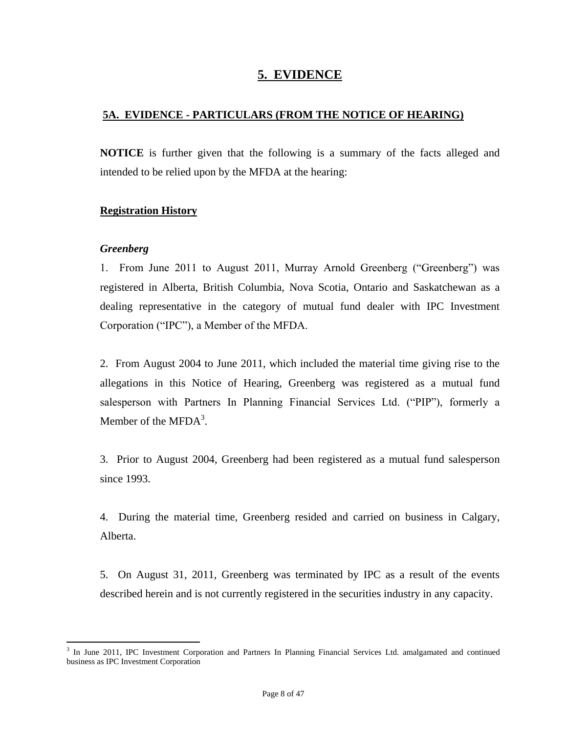# **5. EVIDENCE**

# **5A. EVIDENCE - PARTICULARS (FROM THE NOTICE OF HEARING)**

**NOTICE** is further given that the following is a summary of the facts alleged and intended to be relied upon by the MFDA at the hearing:

# **Registration History**

#### *Greenberg*

1. From June 2011 to August 2011, Murray Arnold Greenberg ("Greenberg") was registered in Alberta, British Columbia, Nova Scotia, Ontario and Saskatchewan as a dealing representative in the category of mutual fund dealer with IPC Investment Corporation ("IPC"), a Member of the MFDA.

2. From August 2004 to June 2011, which included the material time giving rise to the allegations in this Notice of Hearing, Greenberg was registered as a mutual fund salesperson with Partners In Planning Financial Services Ltd. ("PIP"), formerly a Member of the MFD $A^3$ .

3. Prior to August 2004, Greenberg had been registered as a mutual fund salesperson since 1993.

4. During the material time, Greenberg resided and carried on business in Calgary, Alberta.

5. On August 31, 2011, Greenberg was terminated by IPC as a result of the events described herein and is not currently registered in the securities industry in any capacity.

<sup>&</sup>lt;sup>3</sup> In June 2011, IPC Investment Corporation and Partners In Planning Financial Services Ltd. amalgamated and continued business as IPC Investment Corporation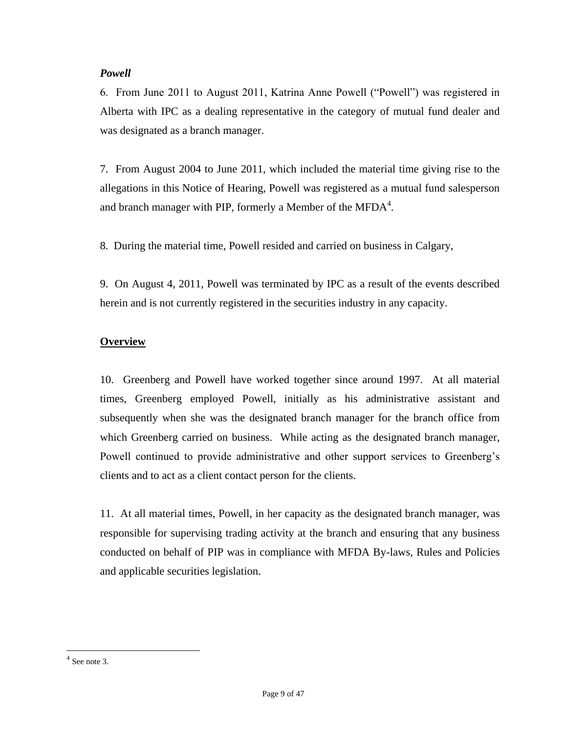#### *Powell*

6. From June 2011 to August 2011, Katrina Anne Powell ("Powell") was registered in Alberta with IPC as a dealing representative in the category of mutual fund dealer and was designated as a branch manager.

7. From August 2004 to June 2011, which included the material time giving rise to the allegations in this Notice of Hearing, Powell was registered as a mutual fund salesperson and branch manager with PIP, formerly a Member of the MFDA $^{4}$ .

8. During the material time, Powell resided and carried on business in Calgary,

9. On August 4, 2011, Powell was terminated by IPC as a result of the events described herein and is not currently registered in the securities industry in any capacity.

# **Overview**

10. Greenberg and Powell have worked together since around 1997. At all material times, Greenberg employed Powell, initially as his administrative assistant and subsequently when she was the designated branch manager for the branch office from which Greenberg carried on business. While acting as the designated branch manager, Powell continued to provide administrative and other support services to Greenberg's clients and to act as a client contact person for the clients.

11. At all material times, Powell, in her capacity as the designated branch manager, was responsible for supervising trading activity at the branch and ensuring that any business conducted on behalf of PIP was in compliance with MFDA By-laws, Rules and Policies and applicable securities legislation.

 4 See note 3.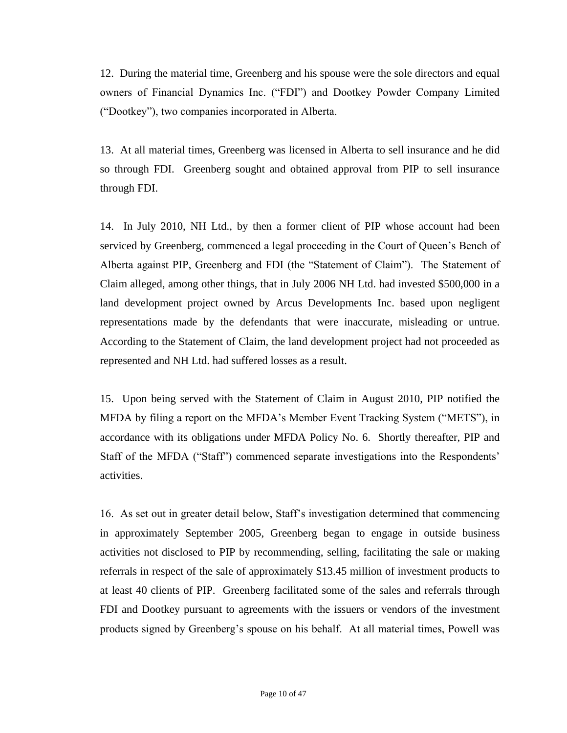12. During the material time, Greenberg and his spouse were the sole directors and equal owners of Financial Dynamics Inc. ("FDI") and Dootkey Powder Company Limited ("Dootkey"), two companies incorporated in Alberta.

13. At all material times, Greenberg was licensed in Alberta to sell insurance and he did so through FDI. Greenberg sought and obtained approval from PIP to sell insurance through FDI.

14. In July 2010, NH Ltd., by then a former client of PIP whose account had been serviced by Greenberg, commenced a legal proceeding in the Court of Queen's Bench of Alberta against PIP, Greenberg and FDI (the "Statement of Claim"). The Statement of Claim alleged, among other things, that in July 2006 NH Ltd. had invested \$500,000 in a land development project owned by Arcus Developments Inc. based upon negligent representations made by the defendants that were inaccurate, misleading or untrue. According to the Statement of Claim, the land development project had not proceeded as represented and NH Ltd. had suffered losses as a result.

15. Upon being served with the Statement of Claim in August 2010, PIP notified the MFDA by filing a report on the MFDA's Member Event Tracking System ("METS"), in accordance with its obligations under MFDA Policy No. 6. Shortly thereafter, PIP and Staff of the MFDA ("Staff") commenced separate investigations into the Respondents' activities.

16. As set out in greater detail below, Staff's investigation determined that commencing in approximately September 2005, Greenberg began to engage in outside business activities not disclosed to PIP by recommending, selling, facilitating the sale or making referrals in respect of the sale of approximately \$13.45 million of investment products to at least 40 clients of PIP. Greenberg facilitated some of the sales and referrals through FDI and Dootkey pursuant to agreements with the issuers or vendors of the investment products signed by Greenberg's spouse on his behalf. At all material times, Powell was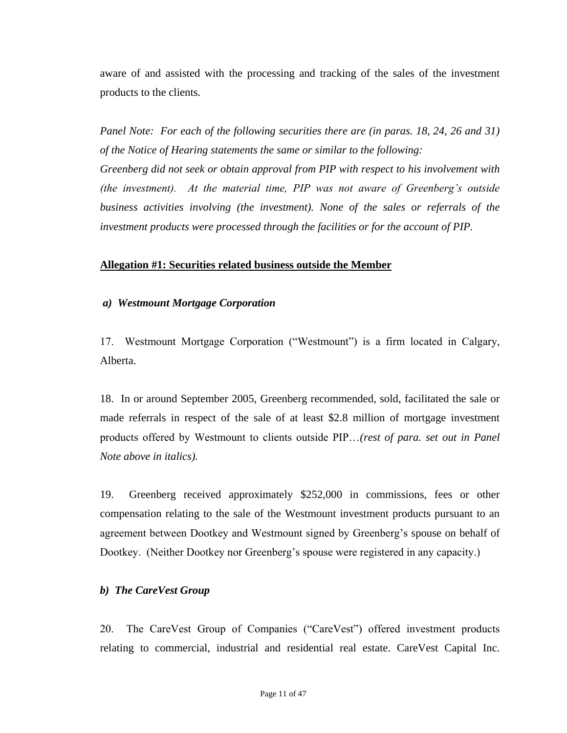aware of and assisted with the processing and tracking of the sales of the investment products to the clients.

*Panel Note: For each of the following securities there are (in paras. 18, 24, 26 and 31) of the Notice of Hearing statements the same or similar to the following: Greenberg did not seek or obtain approval from PIP with respect to his involvement with (the investment). At the material time, PIP was not aware of Greenberg's outside business activities involving (the investment). None of the sales or referrals of the investment products were processed through the facilities or for the account of PIP.*

#### **Allegation #1: Securities related business outside the Member**

#### *a) Westmount Mortgage Corporation*

17. Westmount Mortgage Corporation ("Westmount") is a firm located in Calgary, Alberta.

18. In or around September 2005, Greenberg recommended, sold, facilitated the sale or made referrals in respect of the sale of at least \$2.8 million of mortgage investment products offered by Westmount to clients outside PIP…*(rest of para. set out in Panel Note above in italics).*

19. Greenberg received approximately \$252,000 in commissions, fees or other compensation relating to the sale of the Westmount investment products pursuant to an agreement between Dootkey and Westmount signed by Greenberg's spouse on behalf of Dootkey. (Neither Dootkey nor Greenberg's spouse were registered in any capacity.)

#### *b) The CareVest Group*

20. The CareVest Group of Companies ("CareVest") offered investment products relating to commercial, industrial and residential real estate. CareVest Capital Inc.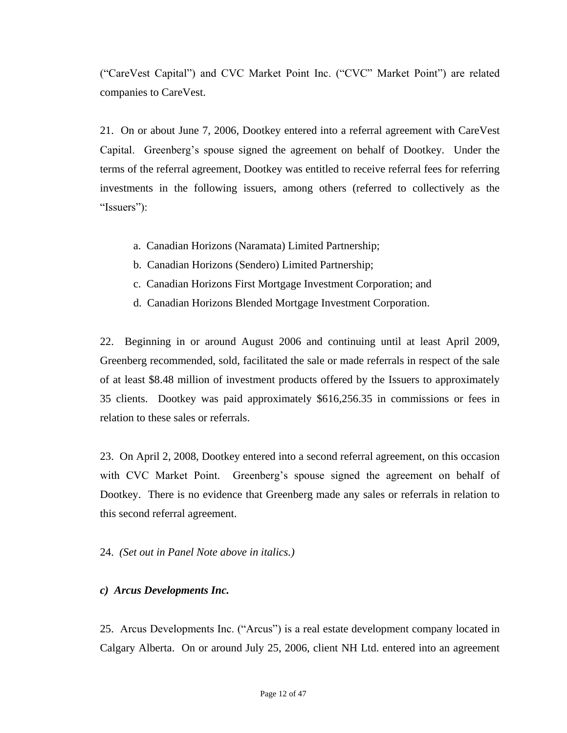("CareVest Capital") and CVC Market Point Inc. ("CVC" Market Point") are related companies to CareVest.

21. On or about June 7, 2006, Dootkey entered into a referral agreement with CareVest Capital. Greenberg's spouse signed the agreement on behalf of Dootkey. Under the terms of the referral agreement, Dootkey was entitled to receive referral fees for referring investments in the following issuers, among others (referred to collectively as the "Issuers"):

- a. Canadian Horizons (Naramata) Limited Partnership;
- b. Canadian Horizons (Sendero) Limited Partnership;
- c. Canadian Horizons First Mortgage Investment Corporation; and
- d. Canadian Horizons Blended Mortgage Investment Corporation.

22. Beginning in or around August 2006 and continuing until at least April 2009, Greenberg recommended, sold, facilitated the sale or made referrals in respect of the sale of at least \$8.48 million of investment products offered by the Issuers to approximately 35 clients. Dootkey was paid approximately \$616,256.35 in commissions or fees in relation to these sales or referrals.

23. On April 2, 2008, Dootkey entered into a second referral agreement, on this occasion with CVC Market Point. Greenberg's spouse signed the agreement on behalf of Dootkey. There is no evidence that Greenberg made any sales or referrals in relation to this second referral agreement.

#### 24. *(Set out in Panel Note above in italics.)*

#### *c) Arcus Developments Inc.*

25.Arcus Developments Inc. ("Arcus") is a real estate development company located in Calgary Alberta. On or around July 25, 2006, client NH Ltd. entered into an agreement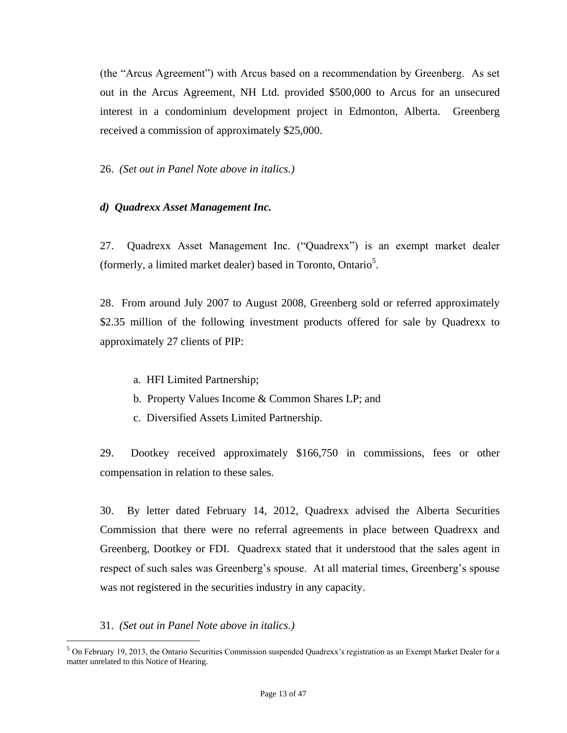(the "Arcus Agreement") with Arcus based on a recommendation by Greenberg. As set out in the Arcus Agreement, NH Ltd. provided \$500,000 to Arcus for an unsecured interest in a condominium development project in Edmonton, Alberta. Greenberg received a commission of approximately \$25,000.

26. *(Set out in Panel Note above in italics.)*

#### *d) Quadrexx Asset Management Inc.*

27. Quadrexx Asset Management Inc. ("Quadrexx") is an exempt market dealer (formerly, a limited market dealer) based in Toronto, Ontario<sup>5</sup>.

28. From around July 2007 to August 2008, Greenberg sold or referred approximately \$2.35 million of the following investment products offered for sale by Quadrexx to approximately 27 clients of PIP:

- a. HFI Limited Partnership;
- b. Property Values Income & Common Shares LP; and
- c. Diversified Assets Limited Partnership.

29. Dootkey received approximately \$166,750 in commissions, fees or other compensation in relation to these sales.

30. By letter dated February 14, 2012, Quadrexx advised the Alberta Securities Commission that there were no referral agreements in place between Quadrexx and Greenberg, Dootkey or FDI. Quadrexx stated that it understood that the sales agent in respect of such sales was Greenberg's spouse. At all material times, Greenberg's spouse was not registered in the securities industry in any capacity.

31. *(Set out in Panel Note above in italics.)*

 $\overline{a}$ 

<sup>5</sup> On February 19, 2013, the Ontario Securities Commission suspended Quadrexx's registration as an Exempt Market Dealer for a matter unrelated to this Notice of Hearing.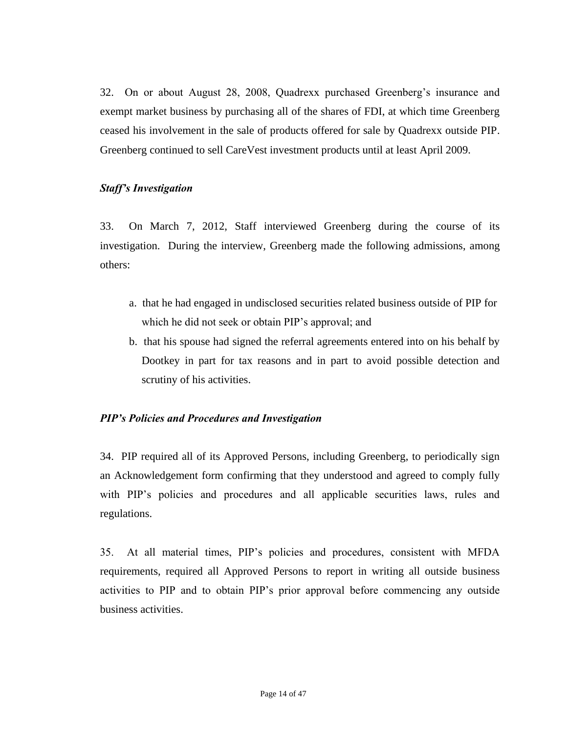32.On or about August 28, 2008, Quadrexx purchased Greenberg's insurance and exempt market business by purchasing all of the shares of FDI, at which time Greenberg ceased his involvement in the sale of products offered for sale by Quadrexx outside PIP. Greenberg continued to sell CareVest investment products until at least April 2009.

#### *Staff's Investigation*

33. On March 7, 2012, Staff interviewed Greenberg during the course of its investigation. During the interview, Greenberg made the following admissions, among others:

- a. that he had engaged in undisclosed securities related business outside of PIP for which he did not seek or obtain PIP's approval; and
- b. that his spouse had signed the referral agreements entered into on his behalf by Dootkey in part for tax reasons and in part to avoid possible detection and scrutiny of his activities.

# *PIP's Policies and Procedures and Investigation*

34. PIP required all of its Approved Persons, including Greenberg, to periodically sign an Acknowledgement form confirming that they understood and agreed to comply fully with PIP's policies and procedures and all applicable securities laws, rules and regulations.

35. At all material times, PIP's policies and procedures, consistent with MFDA requirements, required all Approved Persons to report in writing all outside business activities to PIP and to obtain PIP's prior approval before commencing any outside business activities.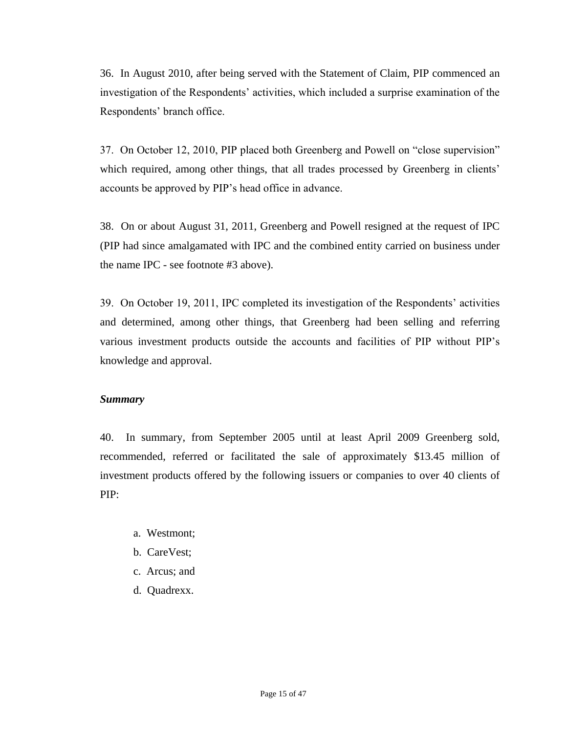36. In August 2010, after being served with the Statement of Claim, PIP commenced an investigation of the Respondents' activities, which included a surprise examination of the Respondents' branch office.

37. On October 12, 2010, PIP placed both Greenberg and Powell on "close supervision" which required, among other things, that all trades processed by Greenberg in clients' accounts be approved by PIP's head office in advance.

38. On or about August 31, 2011, Greenberg and Powell resigned at the request of IPC (PIP had since amalgamated with IPC and the combined entity carried on business under the name IPC - see footnote #3 above).

39. On October 19, 2011, IPC completed its investigation of the Respondents' activities and determined, among other things, that Greenberg had been selling and referring various investment products outside the accounts and facilities of PIP without PIP's knowledge and approval.

#### *Summary*

40. In summary, from September 2005 until at least April 2009 Greenberg sold, recommended, referred or facilitated the sale of approximately \$13.45 million of investment products offered by the following issuers or companies to over 40 clients of PIP:

- a. Westmont;
- b. CareVest;
- c. Arcus; and
- d. Quadrexx.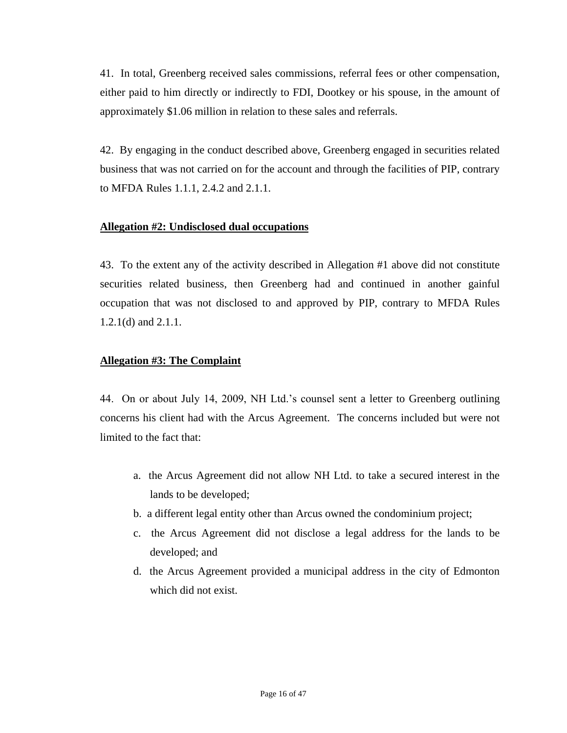41. In total, Greenberg received sales commissions, referral fees or other compensation, either paid to him directly or indirectly to FDI, Dootkey or his spouse, in the amount of approximately \$1.06 million in relation to these sales and referrals.

42. By engaging in the conduct described above, Greenberg engaged in securities related business that was not carried on for the account and through the facilities of PIP, contrary to MFDA Rules 1.1.1, 2.4.2 and 2.1.1.

#### **Allegation #2: Undisclosed dual occupations**

43. To the extent any of the activity described in Allegation #1 above did not constitute securities related business, then Greenberg had and continued in another gainful occupation that was not disclosed to and approved by PIP, contrary to MFDA Rules 1.2.1(d) and 2.1.1.

#### **Allegation #3: The Complaint**

44. On or about July 14, 2009, NH Ltd.'s counsel sent a letter to Greenberg outlining concerns his client had with the Arcus Agreement. The concerns included but were not limited to the fact that:

- a. the Arcus Agreement did not allow NH Ltd. to take a secured interest in the lands to be developed;
- b. a different legal entity other than Arcus owned the condominium project;
- c. the Arcus Agreement did not disclose a legal address for the lands to be developed; and
- d. the Arcus Agreement provided a municipal address in the city of Edmonton which did not exist.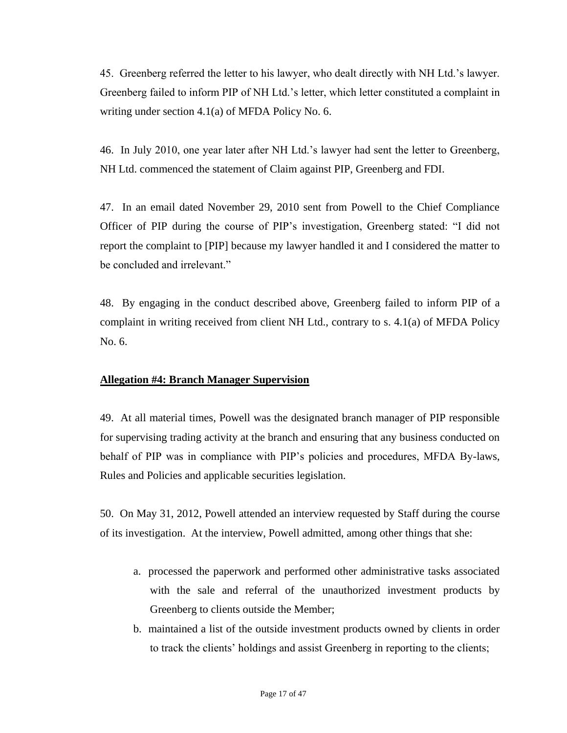45. Greenberg referred the letter to his lawyer, who dealt directly with NH Ltd.'s lawyer. Greenberg failed to inform PIP of NH Ltd.'s letter, which letter constituted a complaint in writing under section 4.1(a) of MFDA Policy No. 6.

46. In July 2010, one year later after NH Ltd.'s lawyer had sent the letter to Greenberg, NH Ltd. commenced the statement of Claim against PIP, Greenberg and FDI.

47. In an email dated November 29, 2010 sent from Powell to the Chief Compliance Officer of PIP during the course of PIP's investigation, Greenberg stated: "I did not report the complaint to [PIP] because my lawyer handled it and I considered the matter to be concluded and irrelevant."

48. By engaging in the conduct described above, Greenberg failed to inform PIP of a complaint in writing received from client NH Ltd., contrary to s. 4.1(a) of MFDA Policy No. 6.

# **Allegation #4: Branch Manager Supervision**

49. At all material times, Powell was the designated branch manager of PIP responsible for supervising trading activity at the branch and ensuring that any business conducted on behalf of PIP was in compliance with PIP's policies and procedures, MFDA By-laws, Rules and Policies and applicable securities legislation.

50. On May 31, 2012, Powell attended an interview requested by Staff during the course of its investigation. At the interview, Powell admitted, among other things that she:

- a. processed the paperwork and performed other administrative tasks associated with the sale and referral of the unauthorized investment products by Greenberg to clients outside the Member;
- b. maintained a list of the outside investment products owned by clients in order to track the clients' holdings and assist Greenberg in reporting to the clients;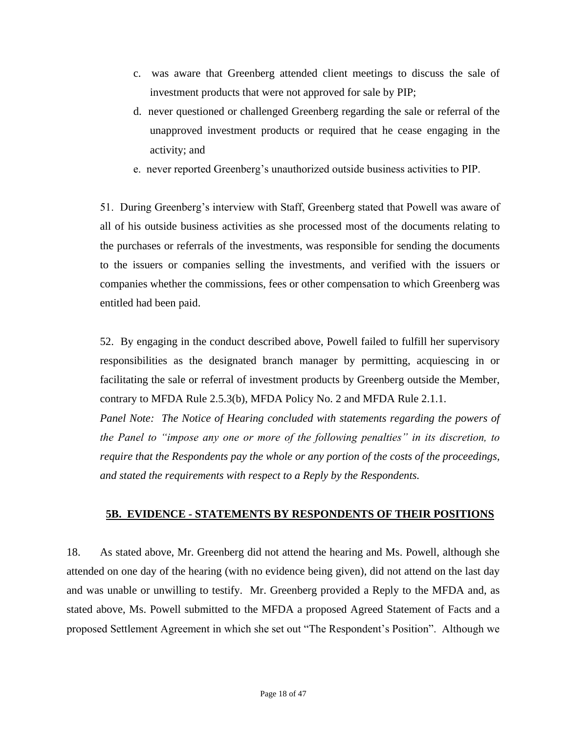- c. was aware that Greenberg attended client meetings to discuss the sale of investment products that were not approved for sale by PIP;
- d. never questioned or challenged Greenberg regarding the sale or referral of the unapproved investment products or required that he cease engaging in the activity; and
- e. never reported Greenberg's unauthorized outside business activities to PIP.

51. During Greenberg's interview with Staff, Greenberg stated that Powell was aware of all of his outside business activities as she processed most of the documents relating to the purchases or referrals of the investments, was responsible for sending the documents to the issuers or companies selling the investments, and verified with the issuers or companies whether the commissions, fees or other compensation to which Greenberg was entitled had been paid.

52. By engaging in the conduct described above, Powell failed to fulfill her supervisory responsibilities as the designated branch manager by permitting, acquiescing in or facilitating the sale or referral of investment products by Greenberg outside the Member, contrary to MFDA Rule 2.5.3(b), MFDA Policy No. 2 and MFDA Rule 2.1.1.

*Panel Note: The Notice of Hearing concluded with statements regarding the powers of the Panel to "impose any one or more of the following penalties" in its discretion, to require that the Respondents pay the whole or any portion of the costs of the proceedings, and stated the requirements with respect to a Reply by the Respondents.*

# **5B. EVIDENCE - STATEMENTS BY RESPONDENTS OF THEIR POSITIONS**

18. As stated above, Mr. Greenberg did not attend the hearing and Ms. Powell, although she attended on one day of the hearing (with no evidence being given), did not attend on the last day and was unable or unwilling to testify. Mr. Greenberg provided a Reply to the MFDA and, as stated above, Ms. Powell submitted to the MFDA a proposed Agreed Statement of Facts and a proposed Settlement Agreement in which she set out "The Respondent's Position". Although we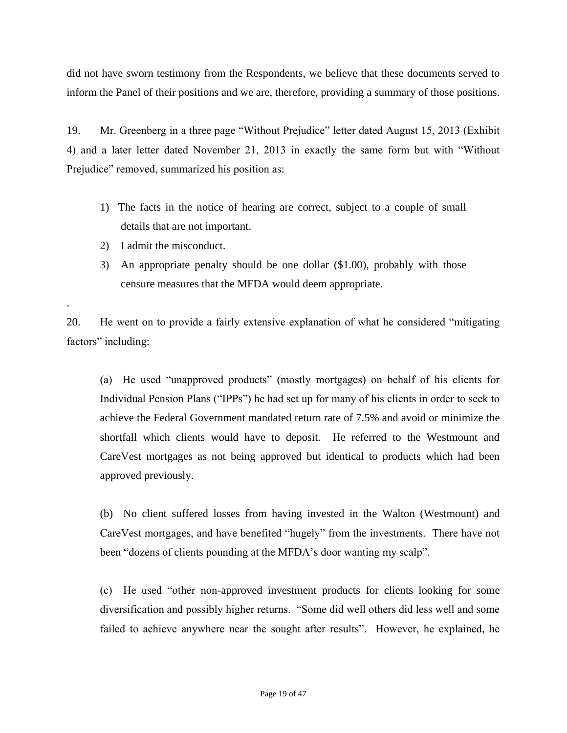did not have sworn testimony from the Respondents, we believe that these documents served to inform the Panel of their positions and we are, therefore, providing a summary of those positions.

19. Mr. Greenberg in a three page "Without Prejudice" letter dated August 15, 2013 (Exhibit 4) and a later letter dated November 21, 2013 in exactly the same form but with "Without Prejudice" removed, summarized his position as:

- 1) The facts in the notice of hearing are correct, subject to a couple of small details that are not important.
- 2) I admit the misconduct.

.

3) An appropriate penalty should be one dollar (\$1.00), probably with those censure measures that the MFDA would deem appropriate.

20. He went on to provide a fairly extensive explanation of what he considered "mitigating factors" including:

(a) He used "unapproved products" (mostly mortgages) on behalf of his clients for Individual Pension Plans ("IPPs") he had set up for many of his clients in order to seek to achieve the Federal Government mandated return rate of 7.5% and avoid or minimize the shortfall which clients would have to deposit. He referred to the Westmount and CareVest mortgages as not being approved but identical to products which had been approved previously.

(b) No client suffered losses from having invested in the Walton (Westmount) and CareVest mortgages, and have benefited "hugely" from the investments. There have not been "dozens of clients pounding at the MFDA's door wanting my scalp".

(c) He used "other non-approved investment products for clients looking for some diversification and possibly higher returns. "Some did well others did less well and some failed to achieve anywhere near the sought after results". However, he explained, he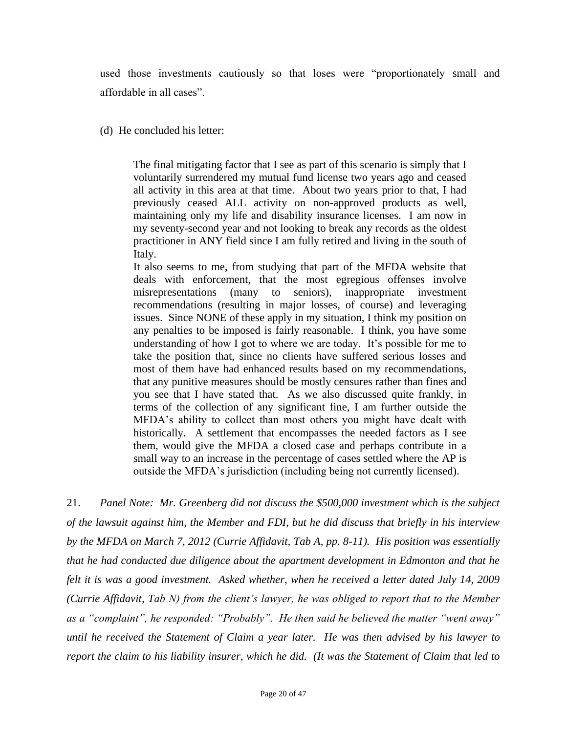used those investments cautiously so that loses were "proportionately small and affordable in all cases".

(d) He concluded his letter:

The final mitigating factor that I see as part of this scenario is simply that I voluntarily surrendered my mutual fund license two years ago and ceased all activity in this area at that time. About two years prior to that, I had previously ceased ALL activity on non-approved products as well, maintaining only my life and disability insurance licenses. I am now in my seventy-second year and not looking to break any records as the oldest practitioner in ANY field since I am fully retired and living in the south of Italy.

It also seems to me, from studying that part of the MFDA website that deals with enforcement, that the most egregious offenses involve misrepresentations (many to seniors), inappropriate investment recommendations (resulting in major losses, of course) and leveraging issues. Since NONE of these apply in my situation, I think my position on any penalties to be imposed is fairly reasonable. I think, you have some understanding of how I got to where we are today. It's possible for me to take the position that, since no clients have suffered serious losses and most of them have had enhanced results based on my recommendations, that any punitive measures should be mostly censures rather than fines and you see that I have stated that. As we also discussed quite frankly, in terms of the collection of any significant fine, I am further outside the MFDA's ability to collect than most others you might have dealt with historically. A settlement that encompasses the needed factors as I see them, would give the MFDA a closed case and perhaps contribute in a small way to an increase in the percentage of cases settled where the AP is outside the MFDA's jurisdiction (including being not currently licensed).

21. *Panel Note: Mr. Greenberg did not discuss the \$500,000 investment which is the subject of the lawsuit against him, the Member and FDI, but he did discuss that briefly in his interview by the MFDA on March 7, 2012 (Currie Affidavit, Tab A, pp. 8-11). His position was essentially that he had conducted due diligence about the apartment development in Edmonton and that he felt it is was a good investment. Asked whether, when he received a letter dated July 14, 2009 (Currie Affidavit, Tab N) from the client's lawyer, he was obliged to report that to the Member as a "complaint", he responded: "Probably". He then said he believed the matter "went away" until he received the Statement of Claim a year later. He was then advised by his lawyer to report the claim to his liability insurer, which he did. (It was the Statement of Claim that led to*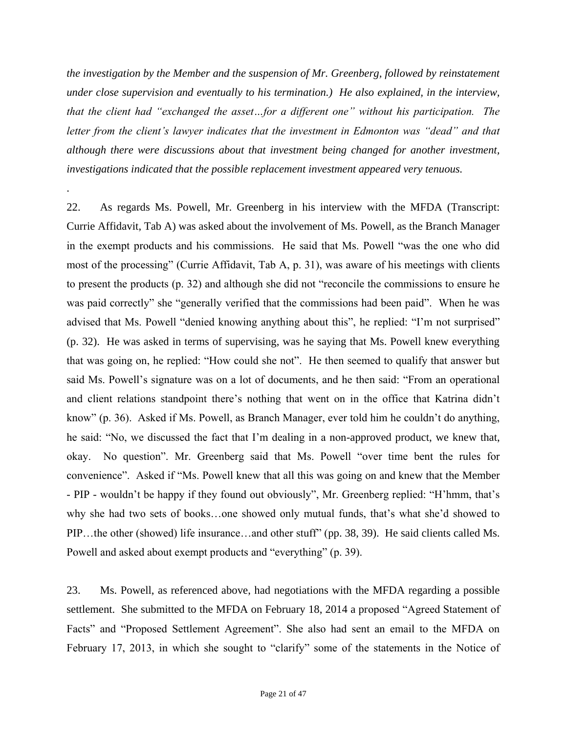*the investigation by the Member and the suspension of Mr. Greenberg, followed by reinstatement under close supervision and eventually to his termination.) He also explained, in the interview, that the client had "exchanged the asset…for a different one" without his participation. The letter from the client's lawyer indicates that the investment in Edmonton was "dead" and that although there were discussions about that investment being changed for another investment, investigations indicated that the possible replacement investment appeared very tenuous.*

.

22. As regards Ms. Powell, Mr. Greenberg in his interview with the MFDA (Transcript: Currie Affidavit, Tab A) was asked about the involvement of Ms. Powell, as the Branch Manager in the exempt products and his commissions. He said that Ms. Powell "was the one who did most of the processing" (Currie Affidavit, Tab A, p. 31), was aware of his meetings with clients to present the products (p. 32) and although she did not "reconcile the commissions to ensure he was paid correctly" she "generally verified that the commissions had been paid". When he was advised that Ms. Powell "denied knowing anything about this", he replied: "I'm not surprised" (p. 32). He was asked in terms of supervising, was he saying that Ms. Powell knew everything that was going on, he replied: "How could she not". He then seemed to qualify that answer but said Ms. Powell's signature was on a lot of documents, and he then said: "From an operational and client relations standpoint there's nothing that went on in the office that Katrina didn't know" (p. 36). Asked if Ms. Powell, as Branch Manager, ever told him he couldn't do anything, he said: "No, we discussed the fact that I'm dealing in a non-approved product, we knew that, okay. No question". Mr. Greenberg said that Ms. Powell "over time bent the rules for convenience". Asked if "Ms. Powell knew that all this was going on and knew that the Member - PIP - wouldn't be happy if they found out obviously", Mr. Greenberg replied: "H'hmm, that's why she had two sets of books…one showed only mutual funds, that's what she'd showed to PIP…the other (showed) life insurance…and other stuff" (pp. 38, 39). He said clients called Ms. Powell and asked about exempt products and "everything" (p. 39).

23. Ms. Powell, as referenced above, had negotiations with the MFDA regarding a possible settlement. She submitted to the MFDA on February 18, 2014 a proposed "Agreed Statement of Facts" and "Proposed Settlement Agreement". She also had sent an email to the MFDA on February 17, 2013, in which she sought to "clarify" some of the statements in the Notice of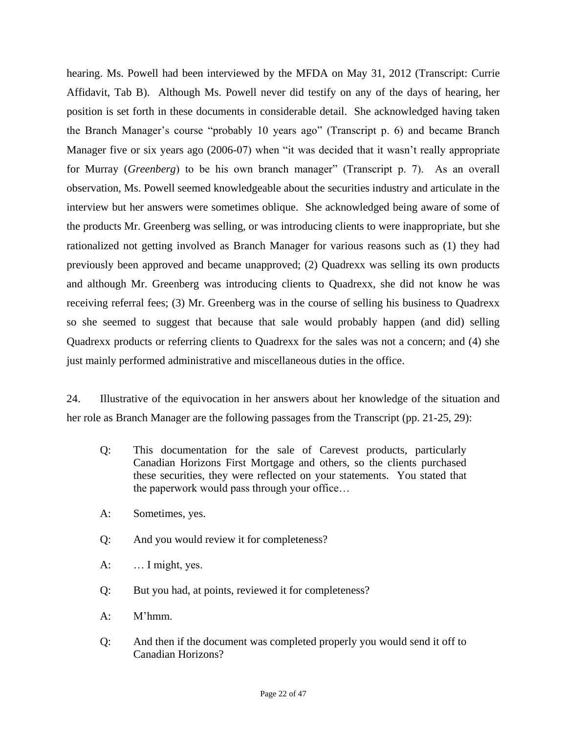hearing. Ms. Powell had been interviewed by the MFDA on May 31, 2012 (Transcript: Currie Affidavit, Tab B). Although Ms. Powell never did testify on any of the days of hearing, her position is set forth in these documents in considerable detail. She acknowledged having taken the Branch Manager's course "probably 10 years ago" (Transcript p. 6) and became Branch Manager five or six years ago (2006-07) when "it was decided that it wasn't really appropriate for Murray (*Greenberg*) to be his own branch manager" (Transcript p. 7). As an overall observation, Ms. Powell seemed knowledgeable about the securities industry and articulate in the interview but her answers were sometimes oblique. She acknowledged being aware of some of the products Mr. Greenberg was selling, or was introducing clients to were inappropriate, but she rationalized not getting involved as Branch Manager for various reasons such as (1) they had previously been approved and became unapproved; (2) Quadrexx was selling its own products and although Mr. Greenberg was introducing clients to Quadrexx, she did not know he was receiving referral fees; (3) Mr. Greenberg was in the course of selling his business to Quadrexx so she seemed to suggest that because that sale would probably happen (and did) selling Quadrexx products or referring clients to Quadrexx for the sales was not a concern; and (4) she just mainly performed administrative and miscellaneous duties in the office.

24. Illustrative of the equivocation in her answers about her knowledge of the situation and her role as Branch Manager are the following passages from the Transcript (pp. 21-25, 29):

- Q: This documentation for the sale of Carevest products, particularly Canadian Horizons First Mortgage and others, so the clients purchased these securities, they were reflected on your statements. You stated that the paperwork would pass through your office…
- A: Sometimes, yes.
- Q: And you would review it for completeness?
- A: … I might, yes.
- Q: But you had, at points, reviewed it for completeness?
- A: M'hmm.
- Q: And then if the document was completed properly you would send it off to Canadian Horizons?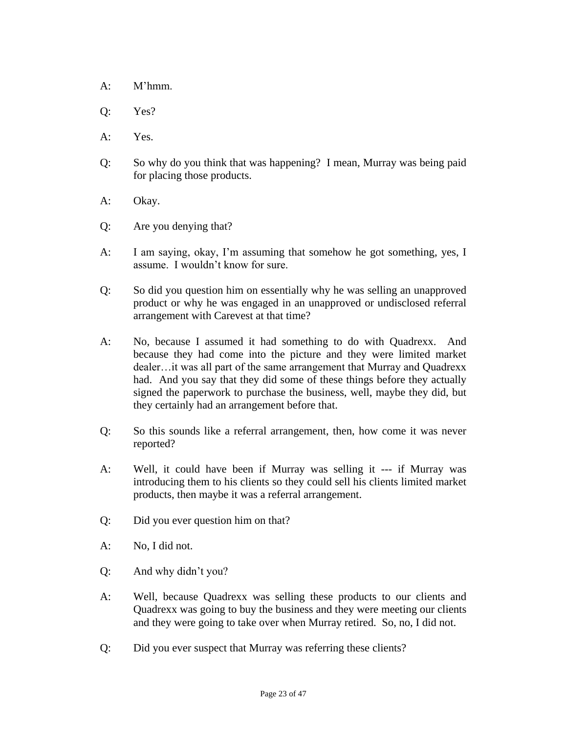- A: M'hmm.
- Q: Yes?
- A: Yes.
- Q: So why do you think that was happening? I mean, Murray was being paid for placing those products.
- A: Okay.
- Q: Are you denying that?
- A: I am saying, okay, I'm assuming that somehow he got something, yes, I assume. I wouldn't know for sure.
- Q: So did you question him on essentially why he was selling an unapproved product or why he was engaged in an unapproved or undisclosed referral arrangement with Carevest at that time?
- A: No, because I assumed it had something to do with Quadrexx. And because they had come into the picture and they were limited market dealer…it was all part of the same arrangement that Murray and Quadrexx had. And you say that they did some of these things before they actually signed the paperwork to purchase the business, well, maybe they did, but they certainly had an arrangement before that.
- Q: So this sounds like a referral arrangement, then, how come it was never reported?
- A: Well, it could have been if Murray was selling it --- if Murray was introducing them to his clients so they could sell his clients limited market products, then maybe it was a referral arrangement.
- Q: Did you ever question him on that?
- A: No, I did not.
- Q: And why didn't you?
- A: Well, because Quadrexx was selling these products to our clients and Quadrexx was going to buy the business and they were meeting our clients and they were going to take over when Murray retired. So, no, I did not.
- Q: Did you ever suspect that Murray was referring these clients?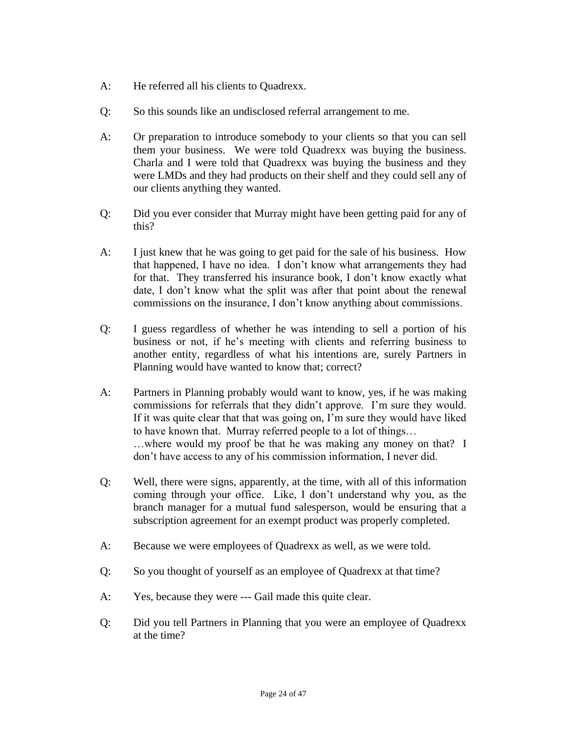- A: He referred all his clients to Quadrexx.
- Q: So this sounds like an undisclosed referral arrangement to me.
- A: Or preparation to introduce somebody to your clients so that you can sell them your business. We were told Quadrexx was buying the business. Charla and I were told that Quadrexx was buying the business and they were LMDs and they had products on their shelf and they could sell any of our clients anything they wanted.
- Q: Did you ever consider that Murray might have been getting paid for any of this?
- A: I just knew that he was going to get paid for the sale of his business. How that happened, I have no idea. I don't know what arrangements they had for that. They transferred his insurance book, I don't know exactly what date, I don't know what the split was after that point about the renewal commissions on the insurance, I don't know anything about commissions.
- Q: I guess regardless of whether he was intending to sell a portion of his business or not, if he's meeting with clients and referring business to another entity, regardless of what his intentions are, surely Partners in Planning would have wanted to know that; correct?
- A: Partners in Planning probably would want to know, yes, if he was making commissions for referrals that they didn't approve. I'm sure they would. If it was quite clear that that was going on, I'm sure they would have liked to have known that. Murray referred people to a lot of things… …where would my proof be that he was making any money on that? I don't have access to any of his commission information, I never did.
- Q: Well, there were signs, apparently, at the time, with all of this information coming through your office. Like, I don't understand why you, as the branch manager for a mutual fund salesperson, would be ensuring that a subscription agreement for an exempt product was properly completed.
- A: Because we were employees of Quadrexx as well, as we were told.
- Q: So you thought of yourself as an employee of Quadrexx at that time?
- A: Yes, because they were --- Gail made this quite clear.
- Q: Did you tell Partners in Planning that you were an employee of Quadrexx at the time?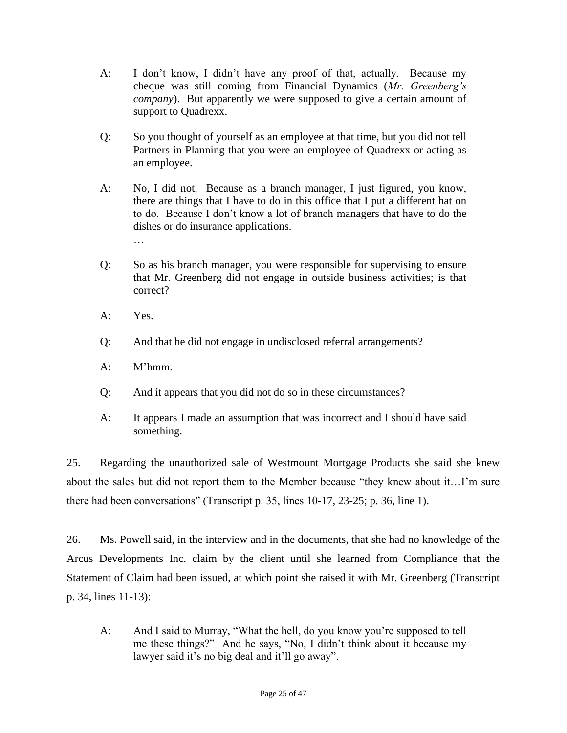- A: I don't know, I didn't have any proof of that, actually. Because my cheque was still coming from Financial Dynamics (*Mr. Greenberg's company*). But apparently we were supposed to give a certain amount of support to Quadrexx.
- Q: So you thought of yourself as an employee at that time, but you did not tell Partners in Planning that you were an employee of Quadrexx or acting as an employee.
- A: No, I did not. Because as a branch manager, I just figured, you know, there are things that I have to do in this office that I put a different hat on to do. Because I don't know a lot of branch managers that have to do the dishes or do insurance applications. …
- Q: So as his branch manager, you were responsible for supervising to ensure that Mr. Greenberg did not engage in outside business activities; is that correct?
- A: Yes.
- Q: And that he did not engage in undisclosed referral arrangements?
- A: M'hmm.
- Q: And it appears that you did not do so in these circumstances?
- A: It appears I made an assumption that was incorrect and I should have said something.

25. Regarding the unauthorized sale of Westmount Mortgage Products she said she knew about the sales but did not report them to the Member because "they knew about it…I'm sure there had been conversations" (Transcript p. 35, lines 10-17, 23-25; p. 36, line 1).

26. Ms. Powell said, in the interview and in the documents, that she had no knowledge of the Arcus Developments Inc. claim by the client until she learned from Compliance that the Statement of Claim had been issued, at which point she raised it with Mr. Greenberg (Transcript p. 34, lines 11-13):

A: And I said to Murray, "What the hell, do you know you're supposed to tell me these things?" And he says, "No, I didn't think about it because my lawyer said it's no big deal and it'll go away".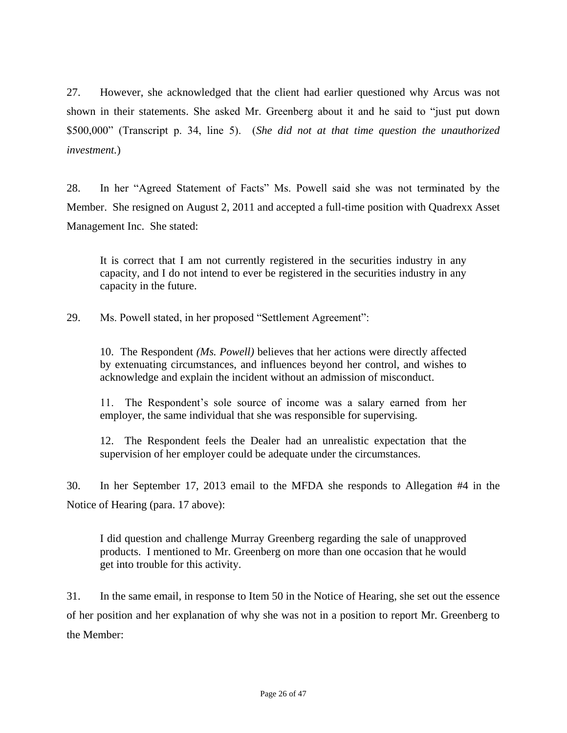27. However, she acknowledged that the client had earlier questioned why Arcus was not shown in their statements. She asked Mr. Greenberg about it and he said to "just put down \$500,000" (Transcript p. 34, line 5). (*She did not at that time question the unauthorized investment.*)

28. In her "Agreed Statement of Facts" Ms. Powell said she was not terminated by the Member. She resigned on August 2, 2011 and accepted a full-time position with Quadrexx Asset Management Inc. She stated:

It is correct that I am not currently registered in the securities industry in any capacity, and I do not intend to ever be registered in the securities industry in any capacity in the future.

29. Ms. Powell stated, in her proposed "Settlement Agreement":

10. The Respondent *(Ms. Powell)* believes that her actions were directly affected by extenuating circumstances, and influences beyond her control, and wishes to acknowledge and explain the incident without an admission of misconduct.

11. The Respondent's sole source of income was a salary earned from her employer, the same individual that she was responsible for supervising.

12. The Respondent feels the Dealer had an unrealistic expectation that the supervision of her employer could be adequate under the circumstances.

30. In her September 17, 2013 email to the MFDA she responds to Allegation #4 in the Notice of Hearing (para. 17 above):

I did question and challenge Murray Greenberg regarding the sale of unapproved products. I mentioned to Mr. Greenberg on more than one occasion that he would get into trouble for this activity.

31. In the same email, in response to Item 50 in the Notice of Hearing, she set out the essence of her position and her explanation of why she was not in a position to report Mr. Greenberg to the Member: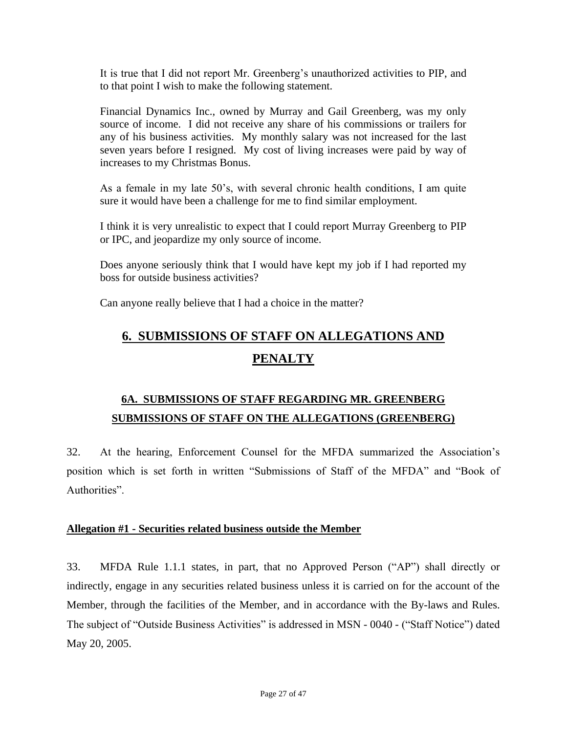It is true that I did not report Mr. Greenberg's unauthorized activities to PIP, and to that point I wish to make the following statement.

Financial Dynamics Inc., owned by Murray and Gail Greenberg, was my only source of income. I did not receive any share of his commissions or trailers for any of his business activities. My monthly salary was not increased for the last seven years before I resigned. My cost of living increases were paid by way of increases to my Christmas Bonus.

As a female in my late 50's, with several chronic health conditions, I am quite sure it would have been a challenge for me to find similar employment.

I think it is very unrealistic to expect that I could report Murray Greenberg to PIP or IPC, and jeopardize my only source of income.

Does anyone seriously think that I would have kept my job if I had reported my boss for outside business activities?

Can anyone really believe that I had a choice in the matter?

# **6. SUBMISSIONS OF STAFF ON ALLEGATIONS AND PENALTY**

# **6A. SUBMISSIONS OF STAFF REGARDING MR. GREENBERG SUBMISSIONS OF STAFF ON THE ALLEGATIONS (GREENBERG)**

32. At the hearing, Enforcement Counsel for the MFDA summarized the Association's position which is set forth in written "Submissions of Staff of the MFDA" and "Book of Authorities".

#### **Allegation #1 - Securities related business outside the Member**

33. MFDA Rule 1.1.1 states, in part, that no Approved Person ("AP") shall directly or indirectly, engage in any securities related business unless it is carried on for the account of the Member, through the facilities of the Member, and in accordance with the By-laws and Rules. The subject of "Outside Business Activities" is addressed in MSN - 0040 - ("Staff Notice") dated May 20, 2005.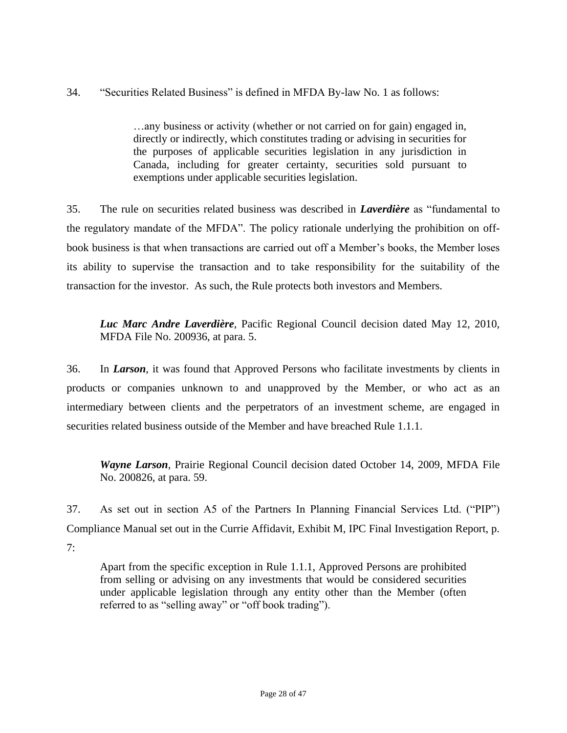34. "Securities Related Business" is defined in MFDA By-law No. 1 as follows:

…any business or activity (whether or not carried on for gain) engaged in, directly or indirectly, which constitutes trading or advising in securities for the purposes of applicable securities legislation in any jurisdiction in Canada, including for greater certainty, securities sold pursuant to exemptions under applicable securities legislation.

35. The rule on securities related business was described in *Laverdière* as "fundamental to the regulatory mandate of the MFDA". The policy rationale underlying the prohibition on offbook business is that when transactions are carried out off a Member's books, the Member loses its ability to supervise the transaction and to take responsibility for the suitability of the transaction for the investor. As such, the Rule protects both investors and Members.

*Luc Marc Andre Laverdière*, Pacific Regional Council decision dated May 12, 2010, MFDA File No. 200936, at para. 5.

36. In *Larson*, it was found that Approved Persons who facilitate investments by clients in products or companies unknown to and unapproved by the Member, or who act as an intermediary between clients and the perpetrators of an investment scheme, are engaged in securities related business outside of the Member and have breached Rule 1.1.1.

*Wayne Larson*, Prairie Regional Council decision dated October 14, 2009, MFDA File No. 200826, at para. 59.

37. As set out in section A5 of the Partners In Planning Financial Services Ltd. ("PIP") Compliance Manual set out in the Currie Affidavit, Exhibit M, IPC Final Investigation Report, p.  $7:$ 

Apart from the specific exception in Rule 1.1.1, Approved Persons are prohibited from selling or advising on any investments that would be considered securities under applicable legislation through any entity other than the Member (often referred to as "selling away" or "off book trading").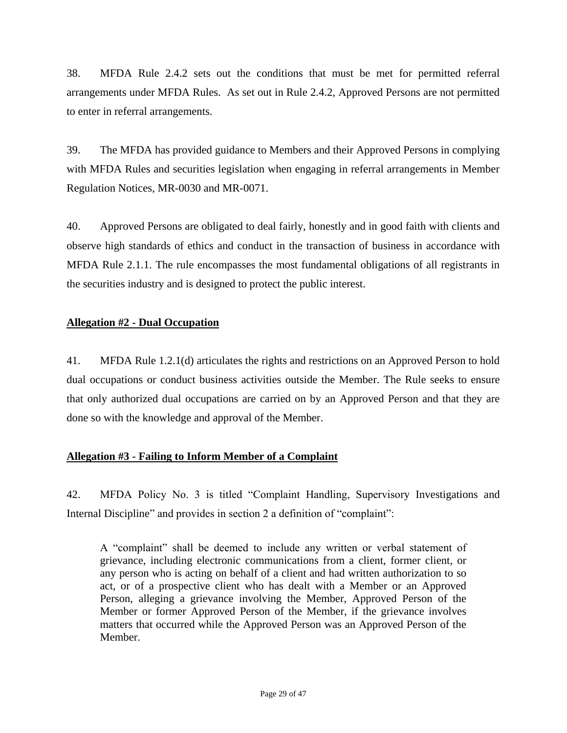38. MFDA Rule 2.4.2 sets out the conditions that must be met for permitted referral arrangements under MFDA Rules. As set out in Rule 2.4.2, Approved Persons are not permitted to enter in referral arrangements.

39. The MFDA has provided guidance to Members and their Approved Persons in complying with MFDA Rules and securities legislation when engaging in referral arrangements in Member Regulation Notices, MR-0030 and MR-0071.

40. Approved Persons are obligated to deal fairly, honestly and in good faith with clients and observe high standards of ethics and conduct in the transaction of business in accordance with MFDA Rule 2.1.1. The rule encompasses the most fundamental obligations of all registrants in the securities industry and is designed to protect the public interest.

# **Allegation #2 - Dual Occupation**

41. MFDA Rule 1.2.1(d) articulates the rights and restrictions on an Approved Person to hold dual occupations or conduct business activities outside the Member. The Rule seeks to ensure that only authorized dual occupations are carried on by an Approved Person and that they are done so with the knowledge and approval of the Member.

# **Allegation #3 - Failing to Inform Member of a Complaint**

42. MFDA Policy No. 3 is titled "Complaint Handling, Supervisory Investigations and Internal Discipline" and provides in section 2 a definition of "complaint":

A "complaint" shall be deemed to include any written or verbal statement of grievance, including electronic communications from a client, former client, or any person who is acting on behalf of a client and had written authorization to so act, or of a prospective client who has dealt with a Member or an Approved Person, alleging a grievance involving the Member, Approved Person of the Member or former Approved Person of the Member, if the grievance involves matters that occurred while the Approved Person was an Approved Person of the Member.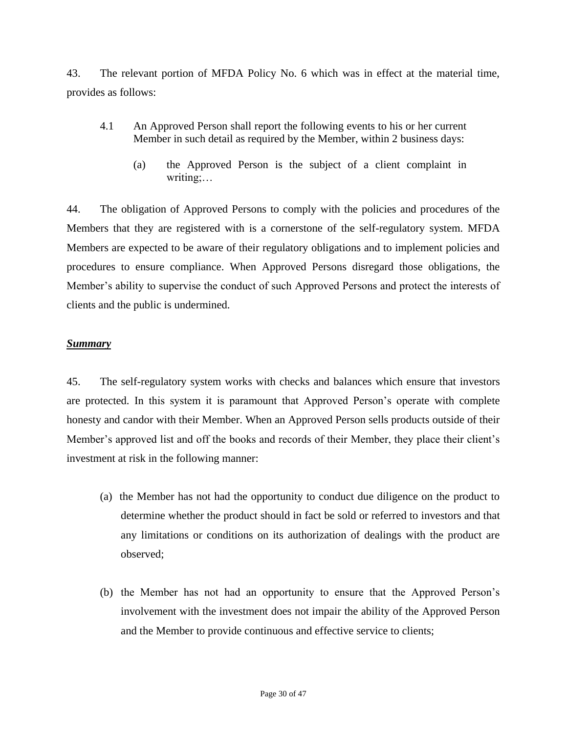43. The relevant portion of MFDA Policy No. 6 which was in effect at the material time, provides as follows:

- 4.1 An Approved Person shall report the following events to his or her current Member in such detail as required by the Member, within 2 business days:
	- (a) the Approved Person is the subject of a client complaint in writing;…

44. The obligation of Approved Persons to comply with the policies and procedures of the Members that they are registered with is a cornerstone of the self-regulatory system. MFDA Members are expected to be aware of their regulatory obligations and to implement policies and procedures to ensure compliance. When Approved Persons disregard those obligations, the Member's ability to supervise the conduct of such Approved Persons and protect the interests of clients and the public is undermined.

# *Summary*

45. The self-regulatory system works with checks and balances which ensure that investors are protected. In this system it is paramount that Approved Person's operate with complete honesty and candor with their Member. When an Approved Person sells products outside of their Member's approved list and off the books and records of their Member, they place their client's investment at risk in the following manner:

- (a) the Member has not had the opportunity to conduct due diligence on the product to determine whether the product should in fact be sold or referred to investors and that any limitations or conditions on its authorization of dealings with the product are observed;
- (b) the Member has not had an opportunity to ensure that the Approved Person's involvement with the investment does not impair the ability of the Approved Person and the Member to provide continuous and effective service to clients;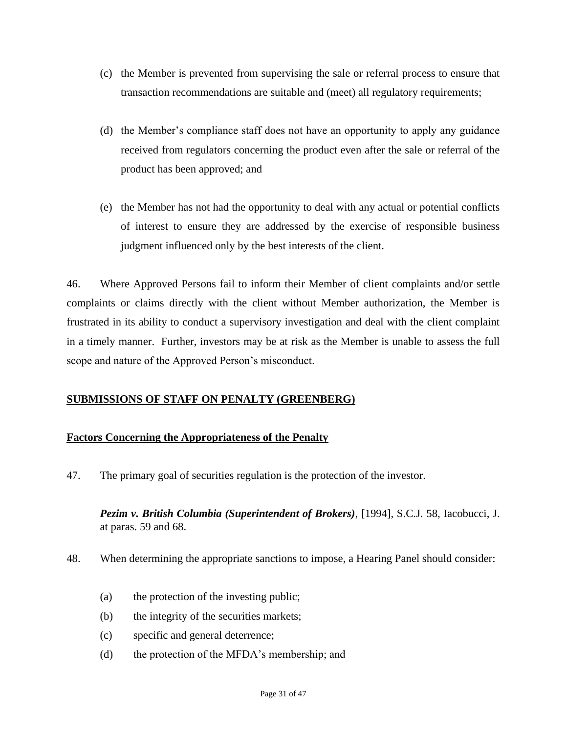- (c) the Member is prevented from supervising the sale or referral process to ensure that transaction recommendations are suitable and (meet) all regulatory requirements;
- (d) the Member's compliance staff does not have an opportunity to apply any guidance received from regulators concerning the product even after the sale or referral of the product has been approved; and
- (e) the Member has not had the opportunity to deal with any actual or potential conflicts of interest to ensure they are addressed by the exercise of responsible business judgment influenced only by the best interests of the client.

46. Where Approved Persons fail to inform their Member of client complaints and/or settle complaints or claims directly with the client without Member authorization, the Member is frustrated in its ability to conduct a supervisory investigation and deal with the client complaint in a timely manner. Further, investors may be at risk as the Member is unable to assess the full scope and nature of the Approved Person's misconduct.

# **SUBMISSIONS OF STAFF ON PENALTY (GREENBERG)**

# **Factors Concerning the Appropriateness of the Penalty**

47. The primary goal of securities regulation is the protection of the investor.

*Pezim v. British Columbia (Superintendent of Brokers)*, [1994], S.C.J. 58, Iacobucci, J. at paras. 59 and 68.

- 48. When determining the appropriate sanctions to impose, a Hearing Panel should consider:
	- (a) the protection of the investing public;
	- (b) the integrity of the securities markets;
	- (c) specific and general deterrence;
	- (d) the protection of the MFDA's membership; and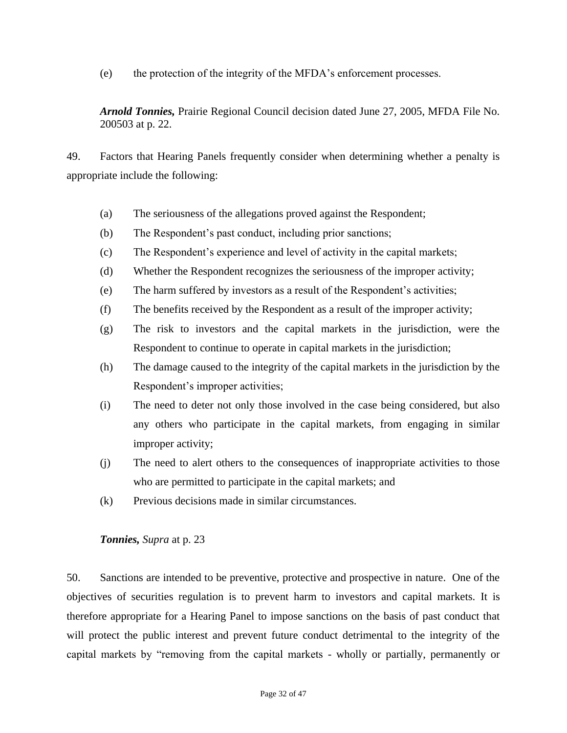(e) the protection of the integrity of the MFDA's enforcement processes.

*Arnold Tonnies,* Prairie Regional Council decision dated June 27, 2005, MFDA File No. 200503 at p. 22.

49. Factors that Hearing Panels frequently consider when determining whether a penalty is appropriate include the following:

- (a) The seriousness of the allegations proved against the Respondent;
- (b) The Respondent's past conduct, including prior sanctions;
- (c) The Respondent's experience and level of activity in the capital markets;
- (d) Whether the Respondent recognizes the seriousness of the improper activity;
- (e) The harm suffered by investors as a result of the Respondent's activities;
- (f) The benefits received by the Respondent as a result of the improper activity;
- (g) The risk to investors and the capital markets in the jurisdiction, were the Respondent to continue to operate in capital markets in the jurisdiction;
- (h) The damage caused to the integrity of the capital markets in the jurisdiction by the Respondent's improper activities;
- (i) The need to deter not only those involved in the case being considered, but also any others who participate in the capital markets, from engaging in similar improper activity;
- (j) The need to alert others to the consequences of inappropriate activities to those who are permitted to participate in the capital markets; and
- (k) Previous decisions made in similar circumstances.

# *Tonnies, Supra* at p. 23

50. Sanctions are intended to be preventive, protective and prospective in nature. One of the objectives of securities regulation is to prevent harm to investors and capital markets. It is therefore appropriate for a Hearing Panel to impose sanctions on the basis of past conduct that will protect the public interest and prevent future conduct detrimental to the integrity of the capital markets by "removing from the capital markets - wholly or partially, permanently or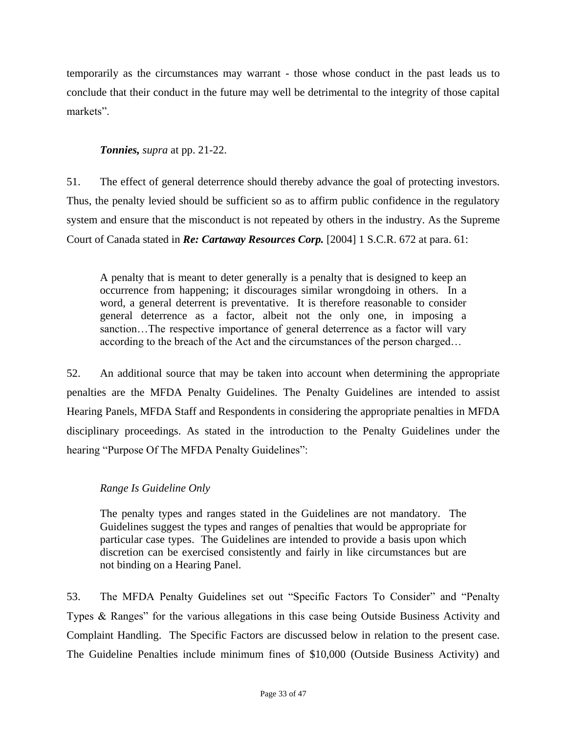temporarily as the circumstances may warrant - those whose conduct in the past leads us to conclude that their conduct in the future may well be detrimental to the integrity of those capital markets".

# *Tonnies, supra* at pp. 21-22.

51. The effect of general deterrence should thereby advance the goal of protecting investors. Thus, the penalty levied should be sufficient so as to affirm public confidence in the regulatory system and ensure that the misconduct is not repeated by others in the industry. As the Supreme Court of Canada stated in *Re: Cartaway Resources Corp.* [2004] 1 S.C.R. 672 at para. 61:

A penalty that is meant to deter generally is a penalty that is designed to keep an occurrence from happening; it discourages similar wrongdoing in others. In a word, a general deterrent is preventative. It is therefore reasonable to consider general deterrence as a factor, albeit not the only one, in imposing a sanction…The respective importance of general deterrence as a factor will vary according to the breach of the Act and the circumstances of the person charged…

52. An additional source that may be taken into account when determining the appropriate penalties are the MFDA Penalty Guidelines. The Penalty Guidelines are intended to assist Hearing Panels, MFDA Staff and Respondents in considering the appropriate penalties in MFDA disciplinary proceedings. As stated in the introduction to the Penalty Guidelines under the hearing "Purpose Of The MFDA Penalty Guidelines":

# *Range Is Guideline Only*

The penalty types and ranges stated in the Guidelines are not mandatory. The Guidelines suggest the types and ranges of penalties that would be appropriate for particular case types. The Guidelines are intended to provide a basis upon which discretion can be exercised consistently and fairly in like circumstances but are not binding on a Hearing Panel.

53. The MFDA Penalty Guidelines set out "Specific Factors To Consider" and "Penalty Types & Ranges" for the various allegations in this case being Outside Business Activity and Complaint Handling. The Specific Factors are discussed below in relation to the present case. The Guideline Penalties include minimum fines of \$10,000 (Outside Business Activity) and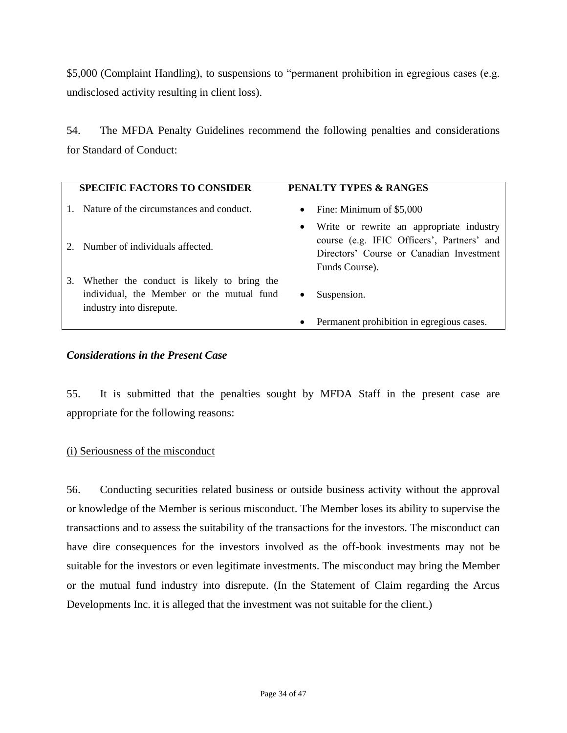\$5,000 (Complaint Handling), to suspensions to "permanent prohibition in egregious cases (e.g. undisclosed activity resulting in client loss).

54. The MFDA Penalty Guidelines recommend the following penalties and considerations for Standard of Conduct:

|    | <b>SPECIFIC FACTORS TO CONSIDER</b>                                                                                 |           | <b>PENALTY TYPES &amp; RANGES</b>                                                                                                                    |
|----|---------------------------------------------------------------------------------------------------------------------|-----------|------------------------------------------------------------------------------------------------------------------------------------------------------|
|    | Nature of the circumstances and conduct.                                                                            | $\bullet$ | Fine: Minimum of \$5,000                                                                                                                             |
|    | 2. Number of individuals affected.                                                                                  | $\bullet$ | Write or rewrite an appropriate industry<br>course (e.g. IFIC Officers', Partners' and<br>Directors' Course or Canadian Investment<br>Funds Course). |
| 3. | Whether the conduct is likely to bring the<br>individual, the Member or the mutual fund<br>industry into disrepute. | ٠         | Suspension.                                                                                                                                          |
|    |                                                                                                                     | ٠         | Permanent prohibition in egregious cases.                                                                                                            |

#### *Considerations in the Present Case*

55. It is submitted that the penalties sought by MFDA Staff in the present case are appropriate for the following reasons:

#### (i) Seriousness of the misconduct

56. Conducting securities related business or outside business activity without the approval or knowledge of the Member is serious misconduct. The Member loses its ability to supervise the transactions and to assess the suitability of the transactions for the investors. The misconduct can have dire consequences for the investors involved as the off-book investments may not be suitable for the investors or even legitimate investments. The misconduct may bring the Member or the mutual fund industry into disrepute. (In the Statement of Claim regarding the Arcus Developments Inc. it is alleged that the investment was not suitable for the client.)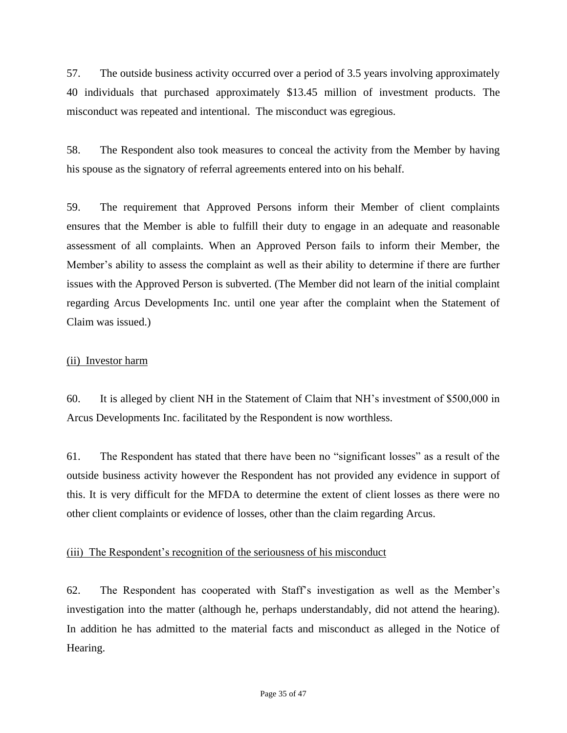57. The outside business activity occurred over a period of 3.5 years involving approximately 40 individuals that purchased approximately \$13.45 million of investment products. The misconduct was repeated and intentional. The misconduct was egregious.

58. The Respondent also took measures to conceal the activity from the Member by having his spouse as the signatory of referral agreements entered into on his behalf.

59. The requirement that Approved Persons inform their Member of client complaints ensures that the Member is able to fulfill their duty to engage in an adequate and reasonable assessment of all complaints. When an Approved Person fails to inform their Member, the Member's ability to assess the complaint as well as their ability to determine if there are further issues with the Approved Person is subverted. (The Member did not learn of the initial complaint regarding Arcus Developments Inc. until one year after the complaint when the Statement of Claim was issued.)

### (ii) Investor harm

60. It is alleged by client NH in the Statement of Claim that NH's investment of \$500,000 in Arcus Developments Inc. facilitated by the Respondent is now worthless.

61. The Respondent has stated that there have been no "significant losses" as a result of the outside business activity however the Respondent has not provided any evidence in support of this. It is very difficult for the MFDA to determine the extent of client losses as there were no other client complaints or evidence of losses, other than the claim regarding Arcus.

#### (iii) The Respondent's recognition of the seriousness of his misconduct

62. The Respondent has cooperated with Staff's investigation as well as the Member's investigation into the matter (although he, perhaps understandably, did not attend the hearing). In addition he has admitted to the material facts and misconduct as alleged in the Notice of Hearing.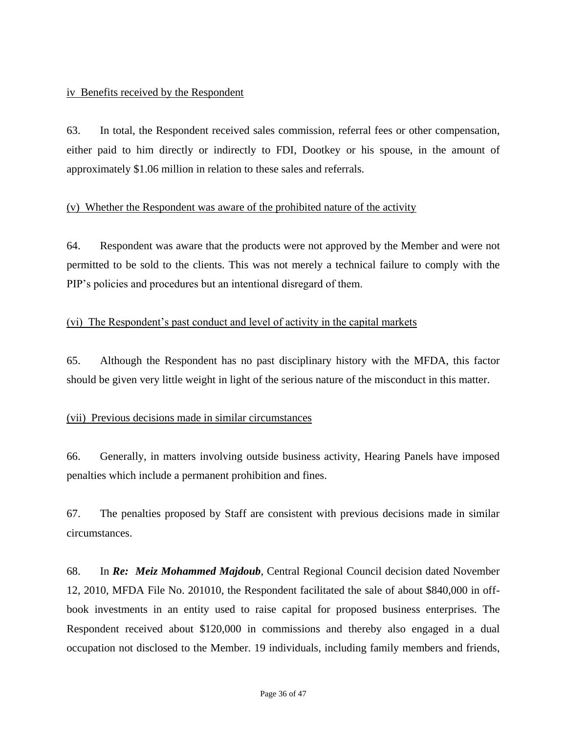#### iv Benefits received by the Respondent

63. In total, the Respondent received sales commission, referral fees or other compensation, either paid to him directly or indirectly to FDI, Dootkey or his spouse, in the amount of approximately \$1.06 million in relation to these sales and referrals.

#### (v) Whether the Respondent was aware of the prohibited nature of the activity

64. Respondent was aware that the products were not approved by the Member and were not permitted to be sold to the clients. This was not merely a technical failure to comply with the PIP's policies and procedures but an intentional disregard of them.

# (vi) The Respondent's past conduct and level of activity in the capital markets

65. Although the Respondent has no past disciplinary history with the MFDA, this factor should be given very little weight in light of the serious nature of the misconduct in this matter.

# (vii) Previous decisions made in similar circumstances

66. Generally, in matters involving outside business activity, Hearing Panels have imposed penalties which include a permanent prohibition and fines.

67. The penalties proposed by Staff are consistent with previous decisions made in similar circumstances.

68. In *Re: Meiz Mohammed Majdoub*, Central Regional Council decision dated November 12, 2010, MFDA File No. 201010, the Respondent facilitated the sale of about \$840,000 in offbook investments in an entity used to raise capital for proposed business enterprises. The Respondent received about \$120,000 in commissions and thereby also engaged in a dual occupation not disclosed to the Member. 19 individuals, including family members and friends,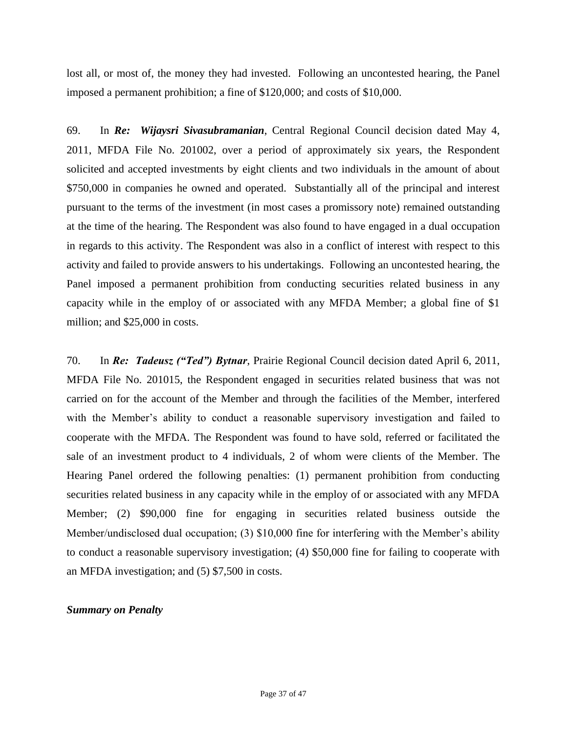lost all, or most of, the money they had invested. Following an uncontested hearing, the Panel imposed a permanent prohibition; a fine of \$120,000; and costs of \$10,000.

69. In *Re: Wijaysri Sivasubramanian*, Central Regional Council decision dated May 4, 2011, MFDA File No. 201002, over a period of approximately six years, the Respondent solicited and accepted investments by eight clients and two individuals in the amount of about \$750,000 in companies he owned and operated. Substantially all of the principal and interest pursuant to the terms of the investment (in most cases a promissory note) remained outstanding at the time of the hearing. The Respondent was also found to have engaged in a dual occupation in regards to this activity. The Respondent was also in a conflict of interest with respect to this activity and failed to provide answers to his undertakings. Following an uncontested hearing, the Panel imposed a permanent prohibition from conducting securities related business in any capacity while in the employ of or associated with any MFDA Member; a global fine of \$1 million; and \$25,000 in costs.

70. In *Re: Tadeusz ("Ted") Bytnar*, Prairie Regional Council decision dated April 6, 2011, MFDA File No. 201015, the Respondent engaged in securities related business that was not carried on for the account of the Member and through the facilities of the Member, interfered with the Member's ability to conduct a reasonable supervisory investigation and failed to cooperate with the MFDA. The Respondent was found to have sold, referred or facilitated the sale of an investment product to 4 individuals, 2 of whom were clients of the Member. The Hearing Panel ordered the following penalties: (1) permanent prohibition from conducting securities related business in any capacity while in the employ of or associated with any MFDA Member; (2) \$90,000 fine for engaging in securities related business outside the Member/undisclosed dual occupation; (3) \$10,000 fine for interfering with the Member's ability to conduct a reasonable supervisory investigation; (4) \$50,000 fine for failing to cooperate with an MFDA investigation; and (5) \$7,500 in costs.

#### *Summary on Penalty*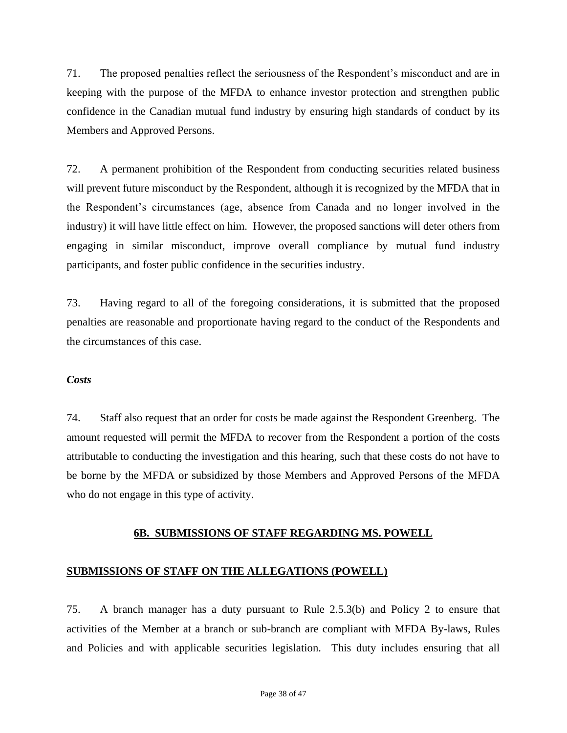71. The proposed penalties reflect the seriousness of the Respondent's misconduct and are in keeping with the purpose of the MFDA to enhance investor protection and strengthen public confidence in the Canadian mutual fund industry by ensuring high standards of conduct by its Members and Approved Persons.

72. A permanent prohibition of the Respondent from conducting securities related business will prevent future misconduct by the Respondent, although it is recognized by the MFDA that in the Respondent's circumstances (age, absence from Canada and no longer involved in the industry) it will have little effect on him. However, the proposed sanctions will deter others from engaging in similar misconduct, improve overall compliance by mutual fund industry participants, and foster public confidence in the securities industry.

73. Having regard to all of the foregoing considerations, it is submitted that the proposed penalties are reasonable and proportionate having regard to the conduct of the Respondents and the circumstances of this case.

#### *Costs*

74. Staff also request that an order for costs be made against the Respondent Greenberg. The amount requested will permit the MFDA to recover from the Respondent a portion of the costs attributable to conducting the investigation and this hearing, such that these costs do not have to be borne by the MFDA or subsidized by those Members and Approved Persons of the MFDA who do not engage in this type of activity.

# **6B. SUBMISSIONS OF STAFF REGARDING MS. POWELL**

# **SUBMISSIONS OF STAFF ON THE ALLEGATIONS (POWELL)**

75. A branch manager has a duty pursuant to Rule 2.5.3(b) and Policy 2 to ensure that activities of the Member at a branch or sub-branch are compliant with MFDA By-laws, Rules and Policies and with applicable securities legislation. This duty includes ensuring that all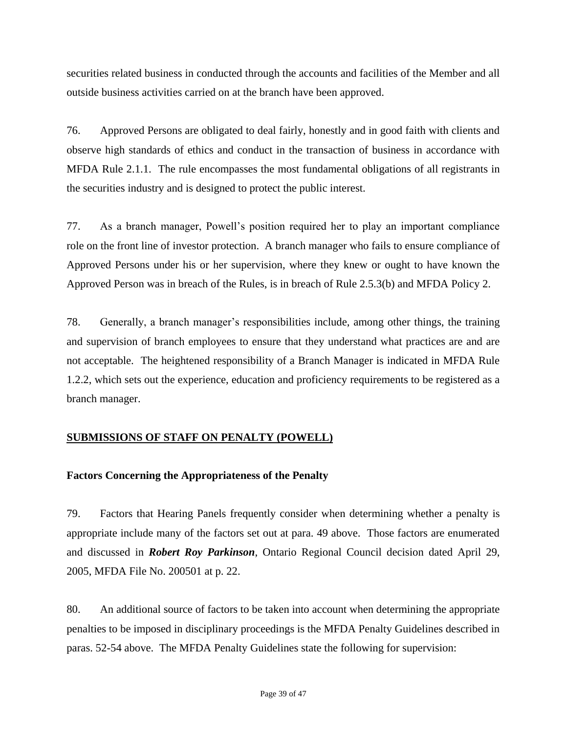securities related business in conducted through the accounts and facilities of the Member and all outside business activities carried on at the branch have been approved.

76. Approved Persons are obligated to deal fairly, honestly and in good faith with clients and observe high standards of ethics and conduct in the transaction of business in accordance with MFDA Rule 2.1.1. The rule encompasses the most fundamental obligations of all registrants in the securities industry and is designed to protect the public interest.

77. As a branch manager, Powell's position required her to play an important compliance role on the front line of investor protection. A branch manager who fails to ensure compliance of Approved Persons under his or her supervision, where they knew or ought to have known the Approved Person was in breach of the Rules, is in breach of Rule 2.5.3(b) and MFDA Policy 2.

78. Generally, a branch manager's responsibilities include, among other things, the training and supervision of branch employees to ensure that they understand what practices are and are not acceptable. The heightened responsibility of a Branch Manager is indicated in MFDA Rule 1.2.2, which sets out the experience, education and proficiency requirements to be registered as a branch manager.

# **SUBMISSIONS OF STAFF ON PENALTY (POWELL)**

# **Factors Concerning the Appropriateness of the Penalty**

79. Factors that Hearing Panels frequently consider when determining whether a penalty is appropriate include many of the factors set out at para. 49 above. Those factors are enumerated and discussed in *Robert Roy Parkinson*, Ontario Regional Council decision dated April 29, 2005, MFDA File No. 200501 at p. 22.

80. An additional source of factors to be taken into account when determining the appropriate penalties to be imposed in disciplinary proceedings is the MFDA Penalty Guidelines described in paras. 52-54 above. The MFDA Penalty Guidelines state the following for supervision: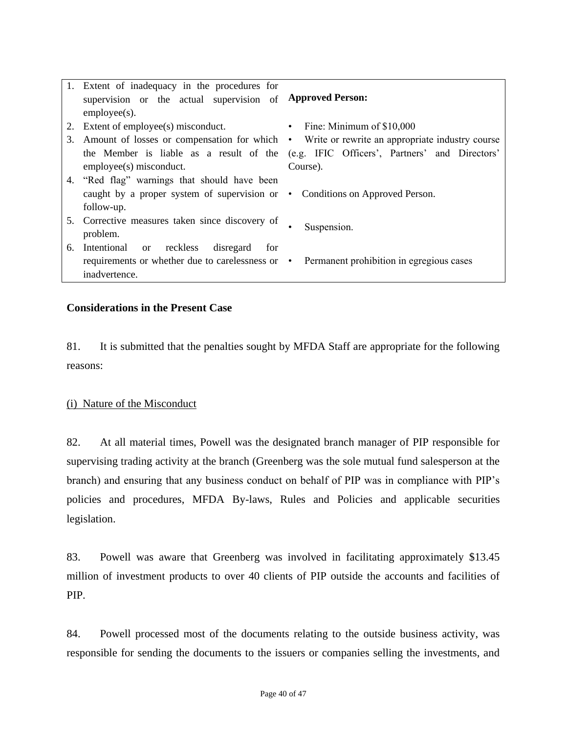|    | 1. Extent of inadequacy in the procedures for<br>supervision or the actual supervision of Approved Person:<br>$employee(s)$ .                                         |                                                                                                                                                                                |
|----|-----------------------------------------------------------------------------------------------------------------------------------------------------------------------|--------------------------------------------------------------------------------------------------------------------------------------------------------------------------------|
| 3. | 2. Extent of employee(s) misconduct.<br>the Member is liable as a result of the                                                                                       | • Fine: Minimum of $$10,000$<br>Amount of losses or compensation for which • Write or rewrite an appropriate industry course<br>(e.g. IFIC Officers', Partners' and Directors' |
|    | employee(s) misconduct.<br>4. "Red flag" warnings that should have been<br>caught by a proper system of supervision or • Conditions on Approved Person.<br>follow-up. | Course).                                                                                                                                                                       |
|    | 5. Corrective measures taken since discovery of<br>problem.                                                                                                           | Suspension.                                                                                                                                                                    |
| 6. | Intentional or reckless disregard<br>for<br>requirements or whether due to carelessness or • Permanent prohibition in egregious cases<br>inadvertence.                |                                                                                                                                                                                |

#### **Considerations in the Present Case**

81. It is submitted that the penalties sought by MFDA Staff are appropriate for the following reasons:

#### (i) Nature of the Misconduct

82. At all material times, Powell was the designated branch manager of PIP responsible for supervising trading activity at the branch (Greenberg was the sole mutual fund salesperson at the branch) and ensuring that any business conduct on behalf of PIP was in compliance with PIP's policies and procedures, MFDA By-laws, Rules and Policies and applicable securities legislation.

83. Powell was aware that Greenberg was involved in facilitating approximately \$13.45 million of investment products to over 40 clients of PIP outside the accounts and facilities of PIP.

84. Powell processed most of the documents relating to the outside business activity, was responsible for sending the documents to the issuers or companies selling the investments, and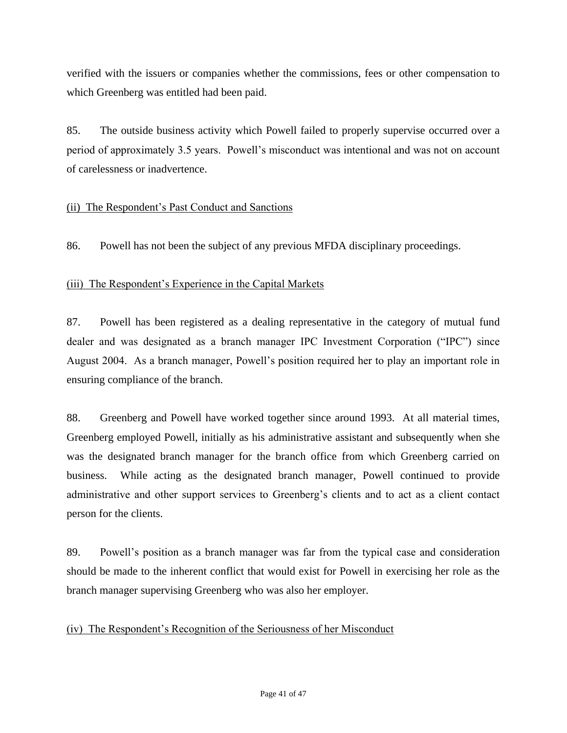verified with the issuers or companies whether the commissions, fees or other compensation to which Greenberg was entitled had been paid.

85. The outside business activity which Powell failed to properly supervise occurred over a period of approximately 3.5 years. Powell's misconduct was intentional and was not on account of carelessness or inadvertence.

# (ii) The Respondent's Past Conduct and Sanctions

86. Powell has not been the subject of any previous MFDA disciplinary proceedings.

#### (iii) The Respondent's Experience in the Capital Markets

87. Powell has been registered as a dealing representative in the category of mutual fund dealer and was designated as a branch manager IPC Investment Corporation ("IPC") since August 2004. As a branch manager, Powell's position required her to play an important role in ensuring compliance of the branch.

88. Greenberg and Powell have worked together since around 1993. At all material times, Greenberg employed Powell, initially as his administrative assistant and subsequently when she was the designated branch manager for the branch office from which Greenberg carried on business. While acting as the designated branch manager, Powell continued to provide administrative and other support services to Greenberg's clients and to act as a client contact person for the clients.

89. Powell's position as a branch manager was far from the typical case and consideration should be made to the inherent conflict that would exist for Powell in exercising her role as the branch manager supervising Greenberg who was also her employer.

#### (iv) The Respondent's Recognition of the Seriousness of her Misconduct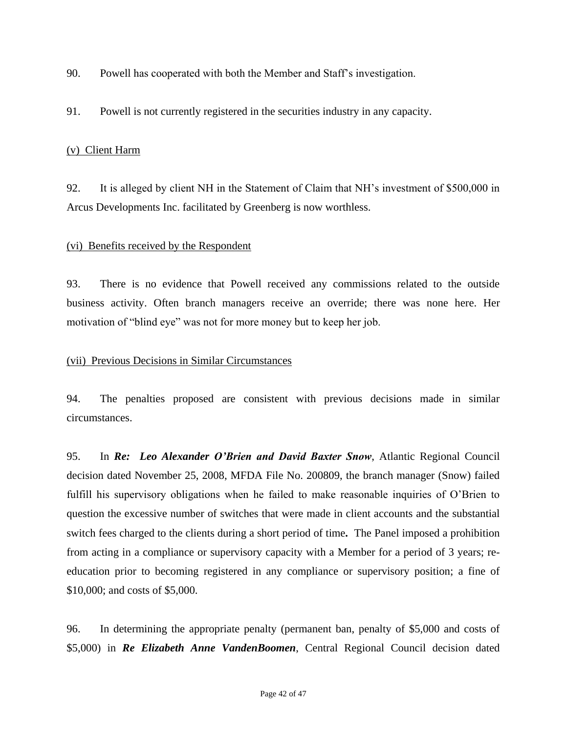- 90. Powell has cooperated with both the Member and Staff's investigation.
- 91. Powell is not currently registered in the securities industry in any capacity.

### (v) Client Harm

92. It is alleged by client NH in the Statement of Claim that NH's investment of \$500,000 in Arcus Developments Inc. facilitated by Greenberg is now worthless.

#### (vi) Benefits received by the Respondent

93. There is no evidence that Powell received any commissions related to the outside business activity. Often branch managers receive an override; there was none here. Her motivation of "blind eye" was not for more money but to keep her job.

#### (vii) Previous Decisions in Similar Circumstances

94. The penalties proposed are consistent with previous decisions made in similar circumstances.

95. In *Re: Leo Alexander O'Brien and David Baxter Snow*, Atlantic Regional Council decision dated November 25, 2008, MFDA File No. 200809, the branch manager (Snow) failed fulfill his supervisory obligations when he failed to make reasonable inquiries of O'Brien to question the excessive number of switches that were made in client accounts and the substantial switch fees charged to the clients during a short period of time*.* The Panel imposed a prohibition from acting in a compliance or supervisory capacity with a Member for a period of 3 years; reeducation prior to becoming registered in any compliance or supervisory position; a fine of \$10,000; and costs of \$5,000.

96. In determining the appropriate penalty (permanent ban, penalty of \$5,000 and costs of \$5,000) in *Re Elizabeth Anne VandenBoomen*, Central Regional Council decision dated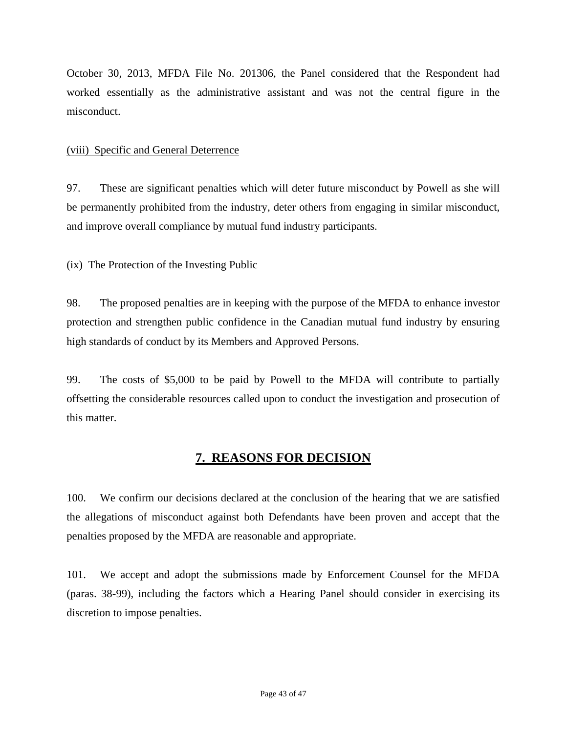October 30, 2013, MFDA File No. 201306, the Panel considered that the Respondent had worked essentially as the administrative assistant and was not the central figure in the misconduct.

#### (viii) Specific and General Deterrence

97. These are significant penalties which will deter future misconduct by Powell as she will be permanently prohibited from the industry, deter others from engaging in similar misconduct, and improve overall compliance by mutual fund industry participants.

#### (ix) The Protection of the Investing Public

98. The proposed penalties are in keeping with the purpose of the MFDA to enhance investor protection and strengthen public confidence in the Canadian mutual fund industry by ensuring high standards of conduct by its Members and Approved Persons.

99. The costs of \$5,000 to be paid by Powell to the MFDA will contribute to partially offsetting the considerable resources called upon to conduct the investigation and prosecution of this matter.

# **7. REASONS FOR DECISION**

100. We confirm our decisions declared at the conclusion of the hearing that we are satisfied the allegations of misconduct against both Defendants have been proven and accept that the penalties proposed by the MFDA are reasonable and appropriate.

101. We accept and adopt the submissions made by Enforcement Counsel for the MFDA (paras. 38-99), including the factors which a Hearing Panel should consider in exercising its discretion to impose penalties.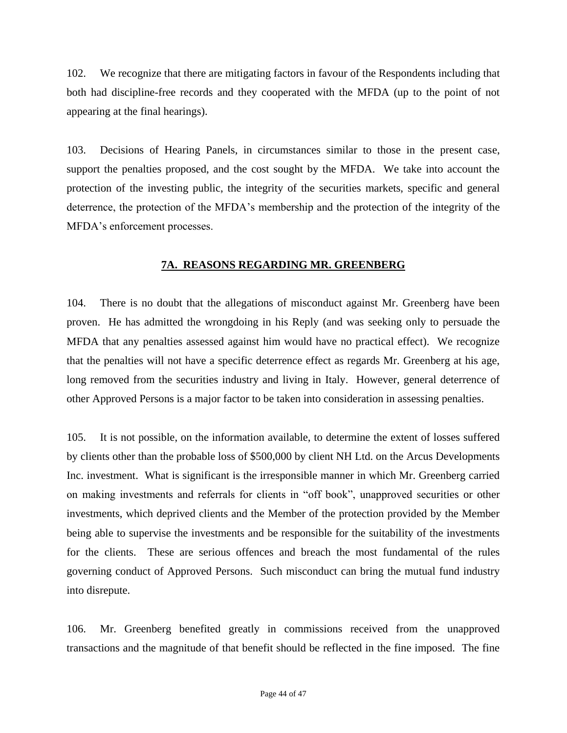102. We recognize that there are mitigating factors in favour of the Respondents including that both had discipline-free records and they cooperated with the MFDA (up to the point of not appearing at the final hearings).

103. Decisions of Hearing Panels, in circumstances similar to those in the present case, support the penalties proposed, and the cost sought by the MFDA. We take into account the protection of the investing public, the integrity of the securities markets, specific and general deterrence, the protection of the MFDA's membership and the protection of the integrity of the MFDA's enforcement processes.

#### **7A. REASONS REGARDING MR. GREENBERG**

104. There is no doubt that the allegations of misconduct against Mr. Greenberg have been proven. He has admitted the wrongdoing in his Reply (and was seeking only to persuade the MFDA that any penalties assessed against him would have no practical effect). We recognize that the penalties will not have a specific deterrence effect as regards Mr. Greenberg at his age, long removed from the securities industry and living in Italy. However, general deterrence of other Approved Persons is a major factor to be taken into consideration in assessing penalties.

105. It is not possible, on the information available, to determine the extent of losses suffered by clients other than the probable loss of \$500,000 by client NH Ltd. on the Arcus Developments Inc. investment. What is significant is the irresponsible manner in which Mr. Greenberg carried on making investments and referrals for clients in "off book", unapproved securities or other investments, which deprived clients and the Member of the protection provided by the Member being able to supervise the investments and be responsible for the suitability of the investments for the clients. These are serious offences and breach the most fundamental of the rules governing conduct of Approved Persons. Such misconduct can bring the mutual fund industry into disrepute.

106. Mr. Greenberg benefited greatly in commissions received from the unapproved transactions and the magnitude of that benefit should be reflected in the fine imposed. The fine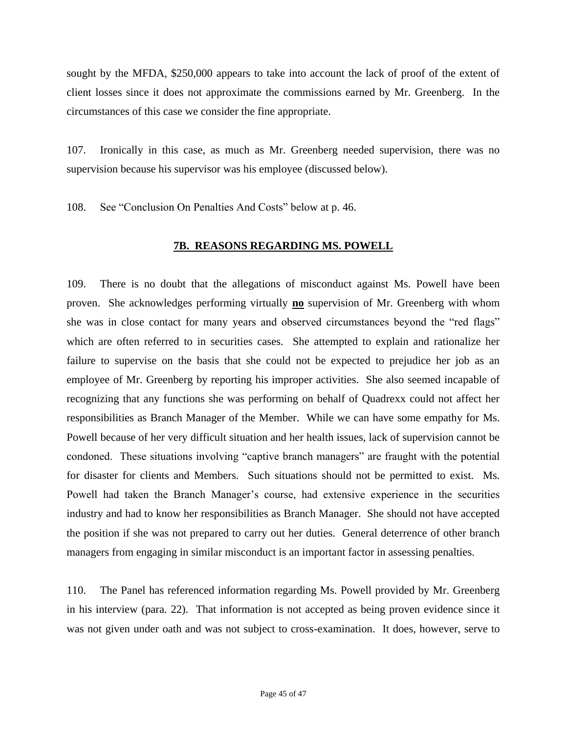sought by the MFDA, \$250,000 appears to take into account the lack of proof of the extent of client losses since it does not approximate the commissions earned by Mr. Greenberg. In the circumstances of this case we consider the fine appropriate.

107. Ironically in this case, as much as Mr. Greenberg needed supervision, there was no supervision because his supervisor was his employee (discussed below).

108. See "Conclusion On Penalties And Costs" below at p. 46.

#### **7B. REASONS REGARDING MS. POWELL**

109. There is no doubt that the allegations of misconduct against Ms. Powell have been proven. She acknowledges performing virtually **no** supervision of Mr. Greenberg with whom she was in close contact for many years and observed circumstances beyond the "red flags" which are often referred to in securities cases. She attempted to explain and rationalize her failure to supervise on the basis that she could not be expected to prejudice her job as an employee of Mr. Greenberg by reporting his improper activities. She also seemed incapable of recognizing that any functions she was performing on behalf of Quadrexx could not affect her responsibilities as Branch Manager of the Member. While we can have some empathy for Ms. Powell because of her very difficult situation and her health issues, lack of supervision cannot be condoned. These situations involving "captive branch managers" are fraught with the potential for disaster for clients and Members. Such situations should not be permitted to exist. Ms. Powell had taken the Branch Manager's course, had extensive experience in the securities industry and had to know her responsibilities as Branch Manager. She should not have accepted the position if she was not prepared to carry out her duties. General deterrence of other branch managers from engaging in similar misconduct is an important factor in assessing penalties.

110. The Panel has referenced information regarding Ms. Powell provided by Mr. Greenberg in his interview (para. 22). That information is not accepted as being proven evidence since it was not given under oath and was not subject to cross-examination. It does, however, serve to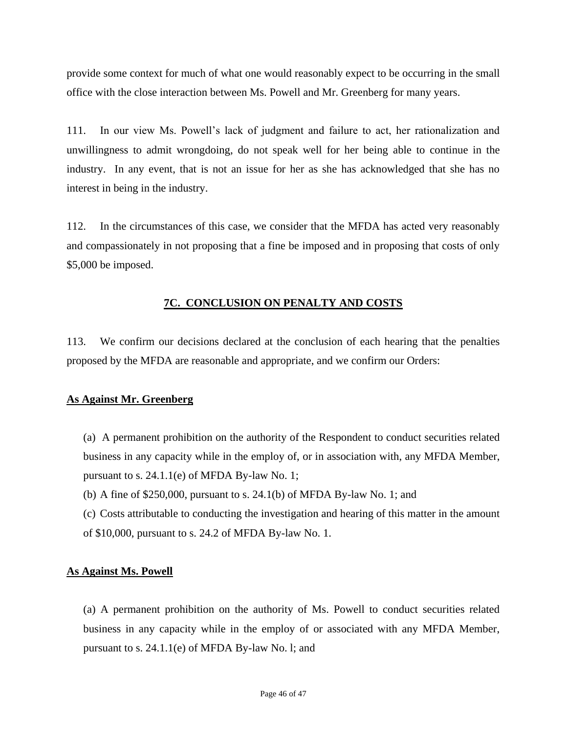provide some context for much of what one would reasonably expect to be occurring in the small office with the close interaction between Ms. Powell and Mr. Greenberg for many years.

111. In our view Ms. Powell's lack of judgment and failure to act, her rationalization and unwillingness to admit wrongdoing, do not speak well for her being able to continue in the industry. In any event, that is not an issue for her as she has acknowledged that she has no interest in being in the industry.

112. In the circumstances of this case, we consider that the MFDA has acted very reasonably and compassionately in not proposing that a fine be imposed and in proposing that costs of only \$5,000 be imposed.

#### **7C. CONCLUSION ON PENALTY AND COSTS**

113. We confirm our decisions declared at the conclusion of each hearing that the penalties proposed by the MFDA are reasonable and appropriate, and we confirm our Orders:

#### **As Against Mr. Greenberg**

(a) A permanent prohibition on the authority of the Respondent to conduct securities related business in any capacity while in the employ of, or in association with, any MFDA Member, pursuant to s. 24.1.1(e) of MFDA By-law No. 1;

- (b) A fine of \$250,000, pursuant to s. 24.1(b) of MFDA By-law No. 1; and
- (c) Costs attributable to conducting the investigation and hearing of this matter in the amount of \$10,000, pursuant to s. 24.2 of MFDA By-law No. 1.

#### **As Against Ms. Powell**

(a) A permanent prohibition on the authority of Ms. Powell to conduct securities related business in any capacity while in the employ of or associated with any MFDA Member, pursuant to s. 24.1.1(e) of MFDA By-law No. l; and